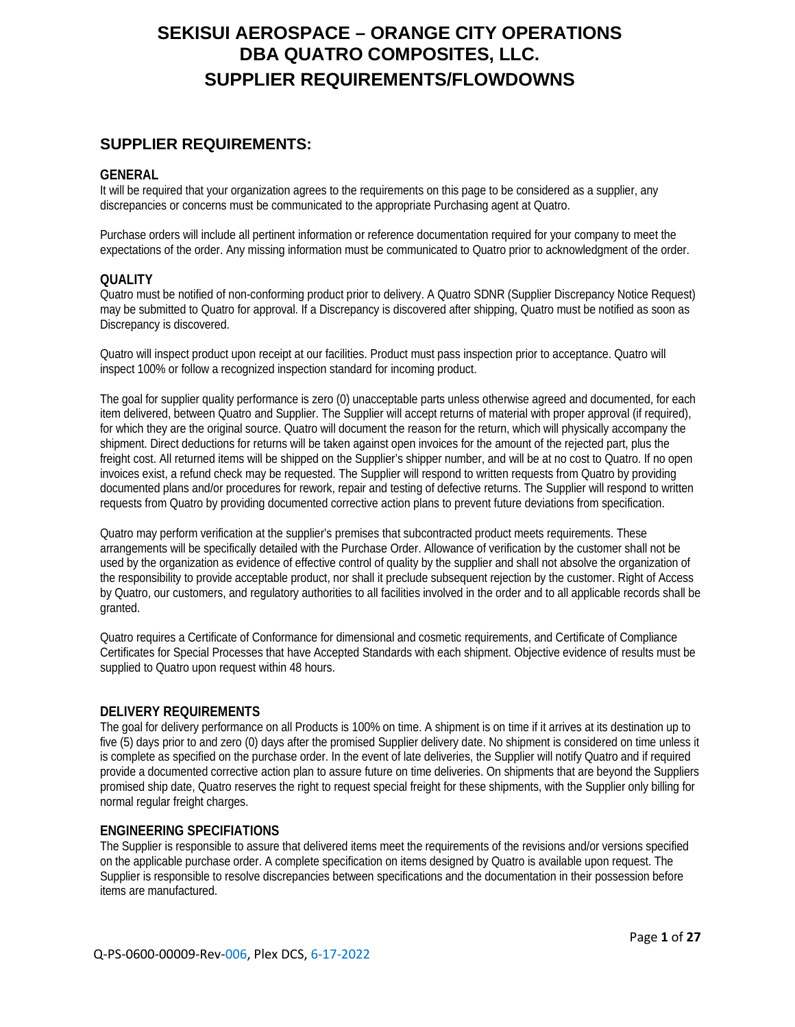## **SUPPLIER REQUIREMENTS:**

#### **GENERAL**

It will be required that your organization agrees to the requirements on this page to be considered as a supplier, any discrepancies or concerns must be communicated to the appropriate Purchasing agent at Quatro.

Purchase orders will include all pertinent information or reference documentation required for your company to meet the expectations of the order. Any missing information must be communicated to Quatro prior to acknowledgment of the order.

#### **QUALITY**

Quatro must be notified of non-conforming product prior to delivery. A Quatro SDNR (Supplier Discrepancy Notice Request) may be submitted to Quatro for approval. If a Discrepancy is discovered after shipping, Quatro must be notified as soon as Discrepancy is discovered.

Quatro will inspect product upon receipt at our facilities. Product must pass inspection prior to acceptance. Quatro will inspect 100% or follow a recognized inspection standard for incoming product.

The goal for supplier quality performance is zero (0) unacceptable parts unless otherwise agreed and documented, for each item delivered, between Quatro and Supplier. The Supplier will accept returns of material with proper approval (if required), for which they are the original source. Quatro will document the reason for the return, which will physically accompany the shipment. Direct deductions for returns will be taken against open invoices for the amount of the rejected part, plus the freight cost. All returned items will be shipped on the Supplier's shipper number, and will be at no cost to Quatro. If no open invoices exist, a refund check may be requested. The Supplier will respond to written requests from Quatro by providing documented plans and/or procedures for rework, repair and testing of defective returns. The Supplier will respond to written requests from Quatro by providing documented corrective action plans to prevent future deviations from specification.

Quatro may perform verification at the supplier's premises that subcontracted product meets requirements. These arrangements will be specifically detailed with the Purchase Order. Allowance of verification by the customer shall not be used by the organization as evidence of effective control of quality by the supplier and shall not absolve the organization of the responsibility to provide acceptable product, nor shall it preclude subsequent rejection by the customer. Right of Access by Quatro, our customers, and regulatory authorities to all facilities involved in the order and to all applicable records shall be granted.

Quatro requires a Certificate of Conformance for dimensional and cosmetic requirements, and Certificate of Compliance Certificates for Special Processes that have Accepted Standards with each shipment. Objective evidence of results must be supplied to Quatro upon request within 48 hours.

#### **DELIVERY REQUIREMENTS**

The goal for delivery performance on all Products is 100% on time. A shipment is on time if it arrives at its destination up to five (5) days prior to and zero (0) days after the promised Supplier delivery date. No shipment is considered on time unless it is complete as specified on the purchase order. In the event of late deliveries, the Supplier will notify Quatro and if required provide a documented corrective action plan to assure future on time deliveries. On shipments that are beyond the Suppliers promised ship date, Quatro reserves the right to request special freight for these shipments, with the Supplier only billing for normal regular freight charges.

#### **ENGINEERING SPECIFIATIONS**

The Supplier is responsible to assure that delivered items meet the requirements of the revisions and/or versions specified on the applicable purchase order. A complete specification on items designed by Quatro is available upon request. The Supplier is responsible to resolve discrepancies between specifications and the documentation in their possession before items are manufactured.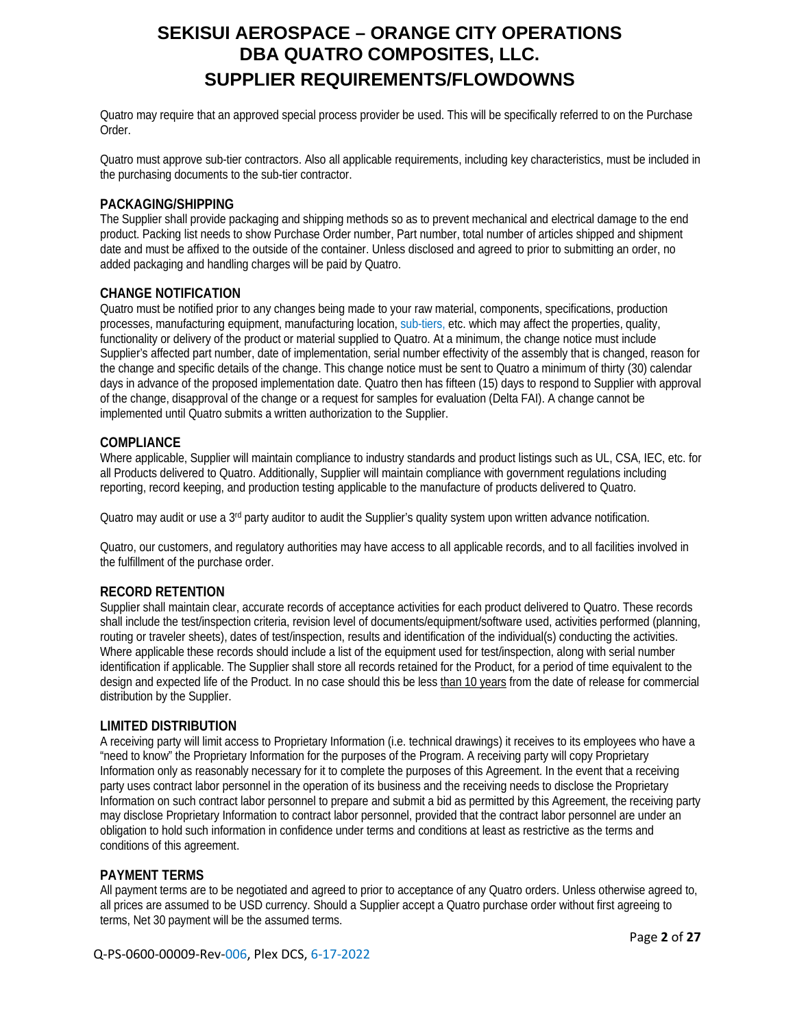Quatro may require that an approved special process provider be used. This will be specifically referred to on the Purchase Order.

Quatro must approve sub-tier contractors. Also all applicable requirements, including key characteristics, must be included in the purchasing documents to the sub-tier contractor.

#### **PACKAGING/SHIPPING**

The Supplier shall provide packaging and shipping methods so as to prevent mechanical and electrical damage to the end product. Packing list needs to show Purchase Order number, Part number, total number of articles shipped and shipment date and must be affixed to the outside of the container. Unless disclosed and agreed to prior to submitting an order, no added packaging and handling charges will be paid by Quatro.

#### **CHANGE NOTIFICATION**

Quatro must be notified prior to any changes being made to your raw material, components, specifications, production processes, manufacturing equipment, manufacturing location, sub-tiers, etc. which may affect the properties, quality, functionality or delivery of the product or material supplied to Quatro. At a minimum, the change notice must include Supplier's affected part number, date of implementation, serial number effectivity of the assembly that is changed, reason for the change and specific details of the change. This change notice must be sent to Quatro a minimum of thirty (30) calendar days in advance of the proposed implementation date. Quatro then has fifteen (15) days to respond to Supplier with approval of the change, disapproval of the change or a request for samples for evaluation (Delta FAI). A change cannot be implemented until Quatro submits a written authorization to the Supplier.

#### **COMPLIANCE**

Where applicable, Supplier will maintain compliance to industry standards and product listings such as UL, CSA, IEC, etc. for all Products delivered to Quatro. Additionally, Supplier will maintain compliance with government regulations including reporting, record keeping, and production testing applicable to the manufacture of products delivered to Quatro.

Quatro may audit or use a 3<sup>rd</sup> party auditor to audit the Supplier's quality system upon written advance notification.

Quatro, our customers, and regulatory authorities may have access to all applicable records, and to all facilities involved in the fulfillment of the purchase order.

### **RECORD RETENTION**

Supplier shall maintain clear, accurate records of acceptance activities for each product delivered to Quatro. These records shall include the test/inspection criteria, revision level of documents/equipment/software used, activities performed (planning, routing or traveler sheets), dates of test/inspection, results and identification of the individual(s) conducting the activities. Where applicable these records should include a list of the equipment used for test/inspection, along with serial number identification if applicable. The Supplier shall store all records retained for the Product, for a period of time equivalent to the design and expected life of the Product. In no case should this be less than 10 years from the date of release for commercial distribution by the Supplier.

#### **LIMITED DISTRIBUTION**

A receiving party will limit access to Proprietary Information (i.e. technical drawings) it receives to its employees who have a "need to know" the Proprietary Information for the purposes of the Program. A receiving party will copy Proprietary Information only as reasonably necessary for it to complete the purposes of this Agreement. In the event that a receiving party uses contract labor personnel in the operation of its business and the receiving needs to disclose the Proprietary Information on such contract labor personnel to prepare and submit a bid as permitted by this Agreement, the receiving party may disclose Proprietary Information to contract labor personnel, provided that the contract labor personnel are under an obligation to hold such information in confidence under terms and conditions at least as restrictive as the terms and conditions of this agreement.

#### **PAYMENT TERMS**

All payment terms are to be negotiated and agreed to prior to acceptance of any Quatro orders. Unless otherwise agreed to, all prices are assumed to be USD currency. Should a Supplier accept a Quatro purchase order without first agreeing to terms, Net 30 payment will be the assumed terms.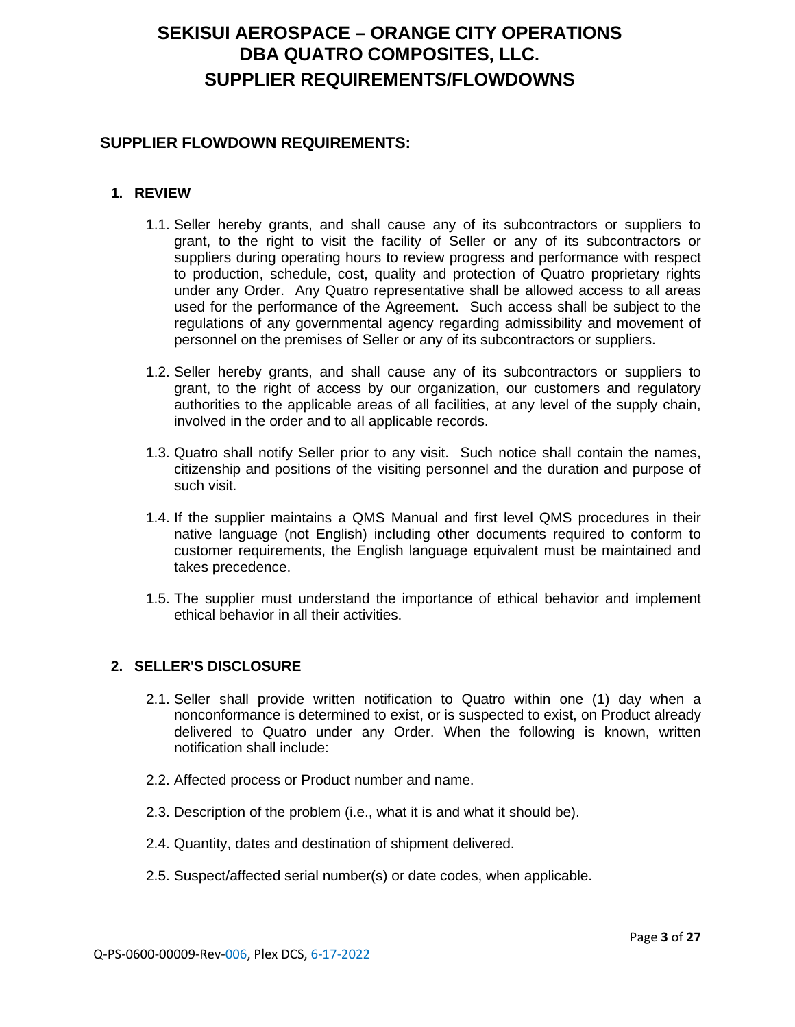## **SUPPLIER FLOWDOWN REQUIREMENTS:**

## **1. REVIEW**

- 1.1. Seller hereby grants, and shall cause any of its subcontractors or suppliers to grant, to the right to visit the facility of Seller or any of its subcontractors or suppliers during operating hours to review progress and performance with respect to production, schedule, cost, quality and protection of Quatro proprietary rights under any Order. Any Quatro representative shall be allowed access to all areas used for the performance of the Agreement. Such access shall be subject to the regulations of any governmental agency regarding admissibility and movement of personnel on the premises of Seller or any of its subcontractors or suppliers.
- 1.2. Seller hereby grants, and shall cause any of its subcontractors or suppliers to grant, to the right of access by our organization, our customers and regulatory authorities to the applicable areas of all facilities, at any level of the supply chain, involved in the order and to all applicable records.
- 1.3. Quatro shall notify Seller prior to any visit. Such notice shall contain the names, citizenship and positions of the visiting personnel and the duration and purpose of such visit.
- 1.4. If the supplier maintains a QMS Manual and first level QMS procedures in their native language (not English) including other documents required to conform to customer requirements, the English language equivalent must be maintained and takes precedence.
- 1.5. The supplier must understand the importance of ethical behavior and implement ethical behavior in all their activities.

## **2. SELLER'S DISCLOSURE**

- 2.1. Seller shall provide written notification to Quatro within one (1) day when a nonconformance is determined to exist, or is suspected to exist, on Product already delivered to Quatro under any Order. When the following is known, written notification shall include:
- 2.2. Affected process or Product number and name.
- 2.3. Description of the problem (i.e., what it is and what it should be).
- 2.4. Quantity, dates and destination of shipment delivered.
- 2.5. Suspect/affected serial number(s) or date codes, when applicable.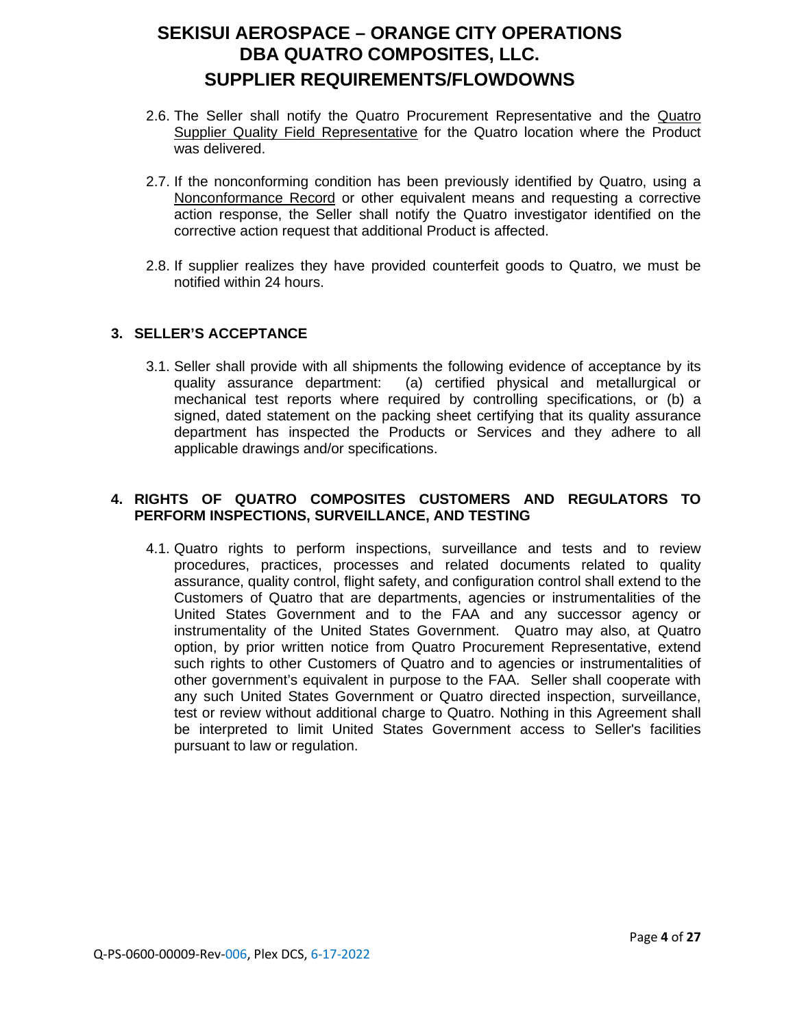- 2.6. The Seller shall notify the Quatro Procurement Representative and the Quatro Supplier Quality Field Representative for the Quatro location where the Product was delivered.
- 2.7. If the nonconforming condition has been previously identified by Quatro, using a Nonconformance Record or other equivalent means and requesting a corrective action response, the Seller shall notify the Quatro investigator identified on the corrective action request that additional Product is affected.
- 2.8. If supplier realizes they have provided counterfeit goods to Quatro, we must be notified within 24 hours.

### **3. SELLER'S ACCEPTANCE**

3.1. Seller shall provide with all shipments the following evidence of acceptance by its quality assurance department: (a) certified physical and metallurgical or mechanical test reports where required by controlling specifications, or (b) a signed, dated statement on the packing sheet certifying that its quality assurance department has inspected the Products or Services and they adhere to all applicable drawings and/or specifications.

## **4. RIGHTS OF QUATRO COMPOSITES CUSTOMERS AND REGULATORS TO PERFORM INSPECTIONS, SURVEILLANCE, AND TESTING**

4.1. Quatro rights to perform inspections, surveillance and tests and to review procedures, practices, processes and related documents related to quality assurance, quality control, flight safety, and configuration control shall extend to the Customers of Quatro that are departments, agencies or instrumentalities of the United States Government and to the FAA and any successor agency or instrumentality of the United States Government. Quatro may also, at Quatro option, by prior written notice from Quatro Procurement Representative, extend such rights to other Customers of Quatro and to agencies or instrumentalities of other government's equivalent in purpose to the FAA. Seller shall cooperate with any such United States Government or Quatro directed inspection, surveillance, test or review without additional charge to Quatro. Nothing in this Agreement shall be interpreted to limit United States Government access to Seller's facilities pursuant to law or regulation.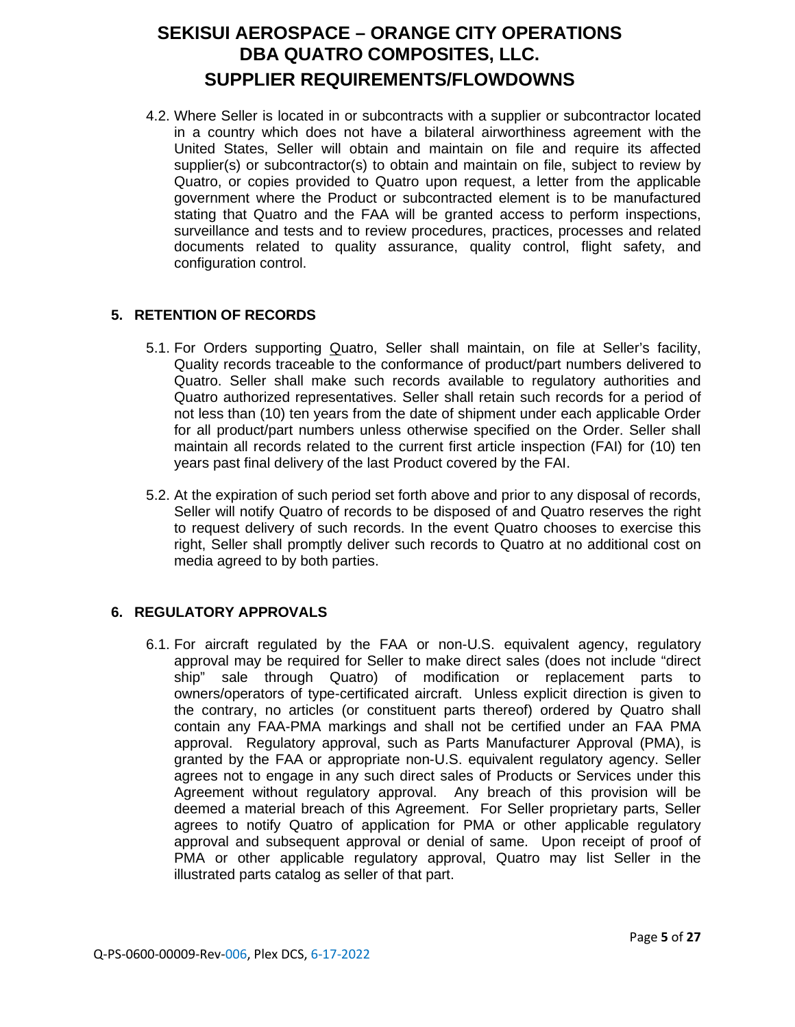4.2. Where Seller is located in or subcontracts with a supplier or subcontractor located in a country which does not have a bilateral airworthiness agreement with the United States, Seller will obtain and maintain on file and require its affected supplier(s) or subcontractor(s) to obtain and maintain on file, subject to review by Quatro, or copies provided to Quatro upon request, a letter from the applicable government where the Product or subcontracted element is to be manufactured stating that Quatro and the FAA will be granted access to perform inspections, surveillance and tests and to review procedures, practices, processes and related documents related to quality assurance, quality control, flight safety, and configuration control.

## **5. RETENTION OF RECORDS**

- 5.1. For Orders supporting Quatro, Seller shall maintain, on file at Seller's facility, Quality records traceable to the conformance of product/part numbers delivered to Quatro. Seller shall make such records available to regulatory authorities and Quatro authorized representatives. Seller shall retain such records for a period of not less than (10) ten years from the date of shipment under each applicable Order for all product/part numbers unless otherwise specified on the Order. Seller shall maintain all records related to the current first article inspection (FAI) for (10) ten years past final delivery of the last Product covered by the FAI.
- 5.2. At the expiration of such period set forth above and prior to any disposal of records, Seller will notify Quatro of records to be disposed of and Quatro reserves the right to request delivery of such records. In the event Quatro chooses to exercise this right, Seller shall promptly deliver such records to Quatro at no additional cost on media agreed to by both parties.

## **6. REGULATORY APPROVALS**

6.1. For aircraft regulated by the FAA or non-U.S. equivalent agency, regulatory approval may be required for Seller to make direct sales (does not include "direct ship" sale through Quatro) of modification or replacement parts to owners/operators of type-certificated aircraft. Unless explicit direction is given to the contrary, no articles (or constituent parts thereof) ordered by Quatro shall contain any FAA-PMA markings and shall not be certified under an FAA PMA approval. Regulatory approval, such as Parts Manufacturer Approval (PMA), is granted by the FAA or appropriate non-U.S. equivalent regulatory agency. Seller agrees not to engage in any such direct sales of Products or Services under this Agreement without regulatory approval. Any breach of this provision will be deemed a material breach of this Agreement. For Seller proprietary parts, Seller agrees to notify Quatro of application for PMA or other applicable regulatory approval and subsequent approval or denial of same. Upon receipt of proof of PMA or other applicable regulatory approval, Quatro may list Seller in the illustrated parts catalog as seller of that part.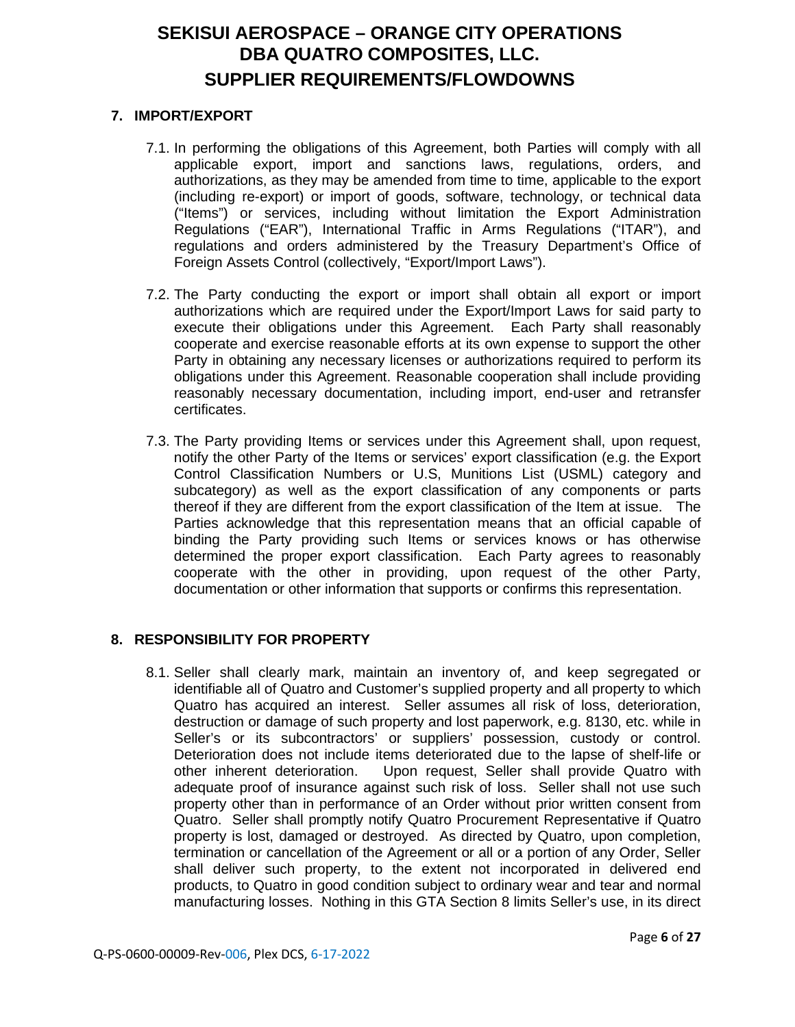### **7. IMPORT/EXPORT**

- 7.1. In performing the obligations of this Agreement, both Parties will comply with all applicable export, import and sanctions laws, regulations, orders, and authorizations, as they may be amended from time to time, applicable to the export (including re-export) or import of goods, software, technology, or technical data ("Items") or services, including without limitation the Export Administration Regulations ("EAR"), International Traffic in Arms Regulations ("ITAR"), and regulations and orders administered by the Treasury Department's Office of Foreign Assets Control (collectively, "Export/Import Laws").
- 7.2. The Party conducting the export or import shall obtain all export or import authorizations which are required under the Export/Import Laws for said party to execute their obligations under this Agreement. Each Party shall reasonably cooperate and exercise reasonable efforts at its own expense to support the other Party in obtaining any necessary licenses or authorizations required to perform its obligations under this Agreement. Reasonable cooperation shall include providing reasonably necessary documentation, including import, end-user and retransfer certificates.
- 7.3. The Party providing Items or services under this Agreement shall, upon request, notify the other Party of the Items or services' export classification (e.g. the Export Control Classification Numbers or U.S, Munitions List (USML) category and subcategory) as well as the export classification of any components or parts thereof if they are different from the export classification of the Item at issue. The Parties acknowledge that this representation means that an official capable of binding the Party providing such Items or services knows or has otherwise determined the proper export classification. Each Party agrees to reasonably cooperate with the other in providing, upon request of the other Party, documentation or other information that supports or confirms this representation.

## **8. RESPONSIBILITY FOR PROPERTY**

8.1. Seller shall clearly mark, maintain an inventory of, and keep segregated or identifiable all of Quatro and Customer's supplied property and all property to which Quatro has acquired an interest. Seller assumes all risk of loss, deterioration, destruction or damage of such property and lost paperwork, e.g. 8130, etc. while in Seller's or its subcontractors' or suppliers' possession, custody or control. Deterioration does not include items deteriorated due to the lapse of shelf-life or other inherent deterioration. Upon request, Seller shall provide Quatro with adequate proof of insurance against such risk of loss. Seller shall not use such property other than in performance of an Order without prior written consent from Quatro. Seller shall promptly notify Quatro Procurement Representative if Quatro property is lost, damaged or destroyed. As directed by Quatro, upon completion, termination or cancellation of the Agreement or all or a portion of any Order, Seller shall deliver such property, to the extent not incorporated in delivered end products, to Quatro in good condition subject to ordinary wear and tear and normal manufacturing losses. Nothing in this GTA Section 8 limits Seller's use, in its direct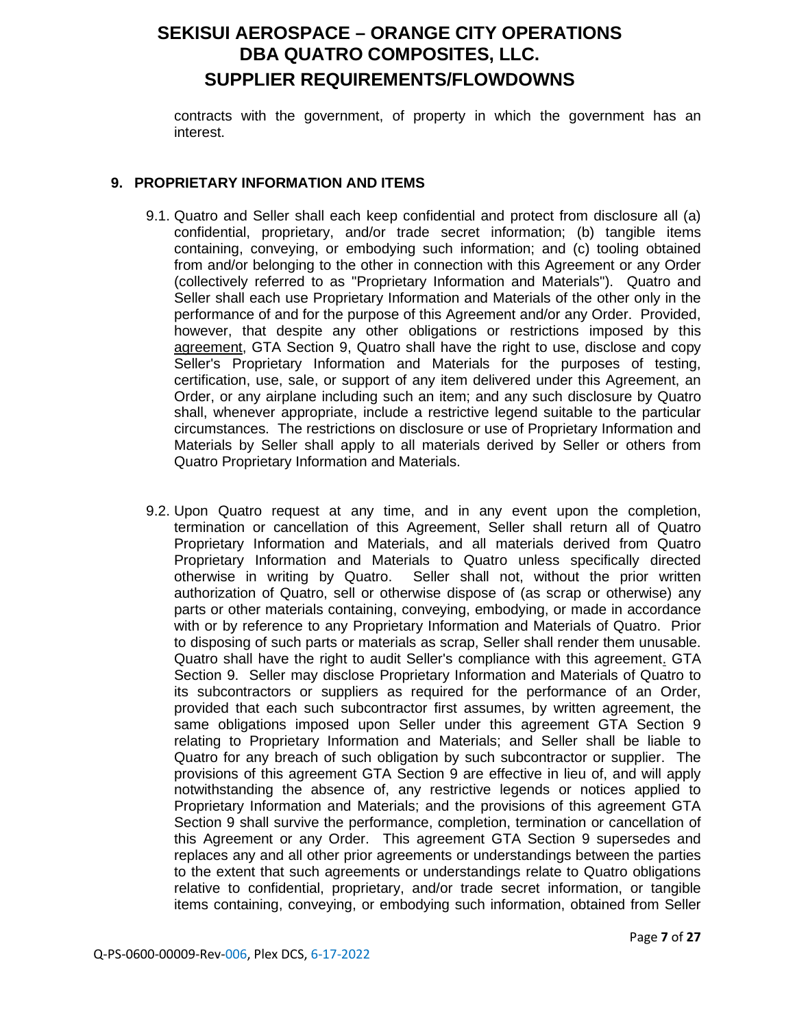contracts with the government, of property in which the government has an interest.

### **9. PROPRIETARY INFORMATION AND ITEMS**

- 9.1. Quatro and Seller shall each keep confidential and protect from disclosure all (a) confidential, proprietary, and/or trade secret information; (b) tangible items containing, conveying, or embodying such information; and (c) tooling obtained from and/or belonging to the other in connection with this Agreement or any Order (collectively referred to as "Proprietary Information and Materials"). Quatro and Seller shall each use Proprietary Information and Materials of the other only in the performance of and for the purpose of this Agreement and/or any Order. Provided, however, that despite any other obligations or restrictions imposed by this agreement, GTA Section 9, Quatro shall have the right to use, disclose and copy Seller's Proprietary Information and Materials for the purposes of testing, certification, use, sale, or support of any item delivered under this Agreement, an Order, or any airplane including such an item; and any such disclosure by Quatro shall, whenever appropriate, include a restrictive legend suitable to the particular circumstances. The restrictions on disclosure or use of Proprietary Information and Materials by Seller shall apply to all materials derived by Seller or others from Quatro Proprietary Information and Materials.
- 9.2. Upon Quatro request at any time, and in any event upon the completion, termination or cancellation of this Agreement, Seller shall return all of Quatro Proprietary Information and Materials, and all materials derived from Quatro Proprietary Information and Materials to Quatro unless specifically directed otherwise in writing by Quatro. Seller shall not, without the prior written authorization of Quatro, sell or otherwise dispose of (as scrap or otherwise) any parts or other materials containing, conveying, embodying, or made in accordance with or by reference to any Proprietary Information and Materials of Quatro. Prior to disposing of such parts or materials as scrap, Seller shall render them unusable. Quatro shall have the right to audit Seller's compliance with this agreement. GTA Section 9. Seller may disclose Proprietary Information and Materials of Quatro to its subcontractors or suppliers as required for the performance of an Order, provided that each such subcontractor first assumes, by written agreement, the same obligations imposed upon Seller under this agreement GTA Section 9 relating to Proprietary Information and Materials; and Seller shall be liable to Quatro for any breach of such obligation by such subcontractor or supplier. The provisions of this agreement GTA Section 9 are effective in lieu of, and will apply notwithstanding the absence of, any restrictive legends or notices applied to Proprietary Information and Materials; and the provisions of this agreement GTA Section 9 shall survive the performance, completion, termination or cancellation of this Agreement or any Order. This agreement GTA Section 9 supersedes and replaces any and all other prior agreements or understandings between the parties to the extent that such agreements or understandings relate to Quatro obligations relative to confidential, proprietary, and/or trade secret information, or tangible items containing, conveying, or embodying such information, obtained from Seller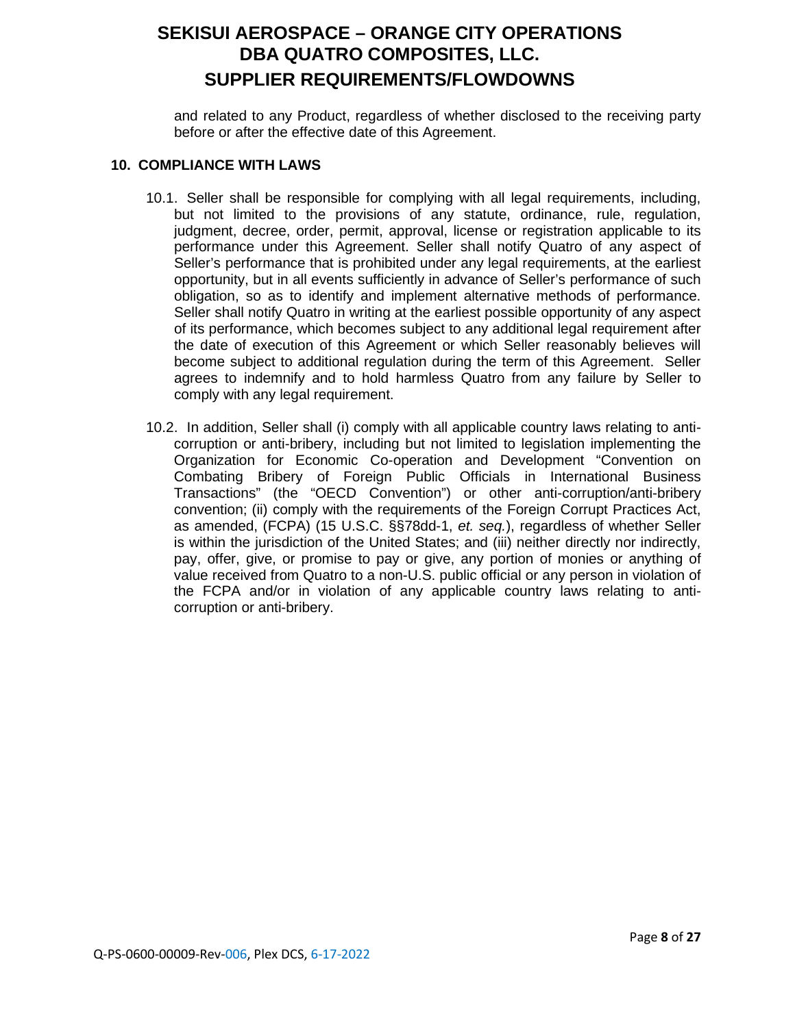and related to any Product, regardless of whether disclosed to the receiving party before or after the effective date of this Agreement.

#### **10. COMPLIANCE WITH LAWS**

- 10.1. Seller shall be responsible for complying with all legal requirements, including, but not limited to the provisions of any statute, ordinance, rule, regulation, judgment, decree, order, permit, approval, license or registration applicable to its performance under this Agreement. Seller shall notify Quatro of any aspect of Seller's performance that is prohibited under any legal requirements, at the earliest opportunity, but in all events sufficiently in advance of Seller's performance of such obligation, so as to identify and implement alternative methods of performance. Seller shall notify Quatro in writing at the earliest possible opportunity of any aspect of its performance, which becomes subject to any additional legal requirement after the date of execution of this Agreement or which Seller reasonably believes will become subject to additional regulation during the term of this Agreement. Seller agrees to indemnify and to hold harmless Quatro from any failure by Seller to comply with any legal requirement.
- 10.2. In addition, Seller shall (i) comply with all applicable country laws relating to anticorruption or anti-bribery, including but not limited to legislation implementing the Organization for Economic Co-operation and Development "Convention on Combating Bribery of Foreign Public Officials in International Business Transactions" (the "OECD Convention") or other anti-corruption/anti-bribery convention; (ii) comply with the requirements of the Foreign Corrupt Practices Act, as amended, (FCPA) (15 U.S.C. §§78dd-1, *et. seq.*), regardless of whether Seller is within the jurisdiction of the United States; and (iii) neither directly nor indirectly, pay, offer, give, or promise to pay or give, any portion of monies or anything of value received from Quatro to a non-U.S. public official or any person in violation of the FCPA and/or in violation of any applicable country laws relating to anticorruption or anti-bribery.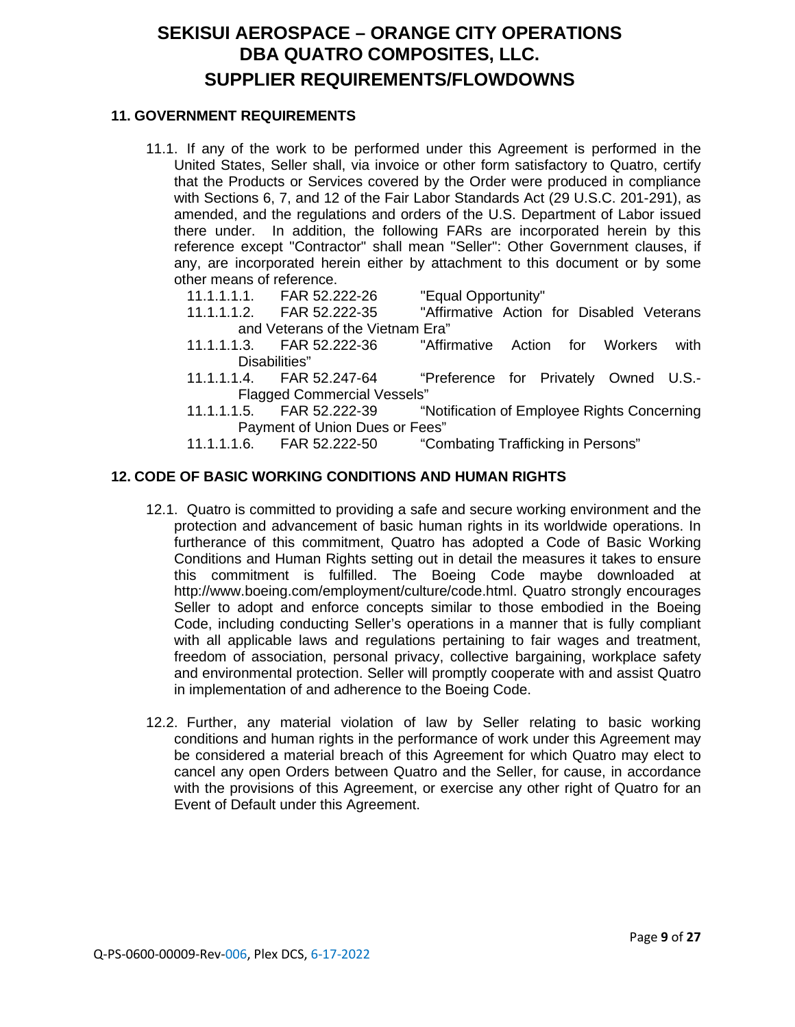### **11. GOVERNMENT REQUIREMENTS**

- 11.1. If any of the work to be performed under this Agreement is performed in the United States, Seller shall, via invoice or other form satisfactory to Quatro, certify that the Products or Services covered by the Order were produced in compliance with Sections 6, 7, and 12 of the Fair Labor Standards Act (29 U.S.C. 201-291), as amended, and the regulations and orders of the U.S. Department of Labor issued there under. In addition, the following FARs are incorporated herein by this reference except "Contractor" shall mean "Seller": Other Government clauses, if any, are incorporated herein either by attachment to this document or by some other means of reference.
	- 11.1.1.1.1. FAR 52.222-26 "Equal Opportunity"
	- 11.1.1.1.2. FAR 52.222-35 "Affirmative Action for Disabled Veterans and Veterans of the Vietnam Era"
	- 11.1.1.1.3. FAR 52.222-36 "Affirmative Action for Workers with Disabilities"
	- 11.1.1.1.4. FAR 52.247-64 "Preference for Privately Owned U.S.- Flagged Commercial Vessels"
	- 11.1.1.1.5. FAR 52.222-39 "Notification of Employee Rights Concerning Payment of Union Dues or Fees"<br>11.1.1.1.6. FAR 52.222-50 "Cor
	- "Combating Trafficking in Persons"

### **12. CODE OF BASIC WORKING CONDITIONS AND HUMAN RIGHTS**

- 12.1. Quatro is committed to providing a safe and secure working environment and the protection and advancement of basic human rights in its worldwide operations. In furtherance of this commitment, Quatro has adopted a Code of Basic Working Conditions and Human Rights setting out in detail the measures it takes to ensure this commitment is fulfilled. The Boeing Code maybe downloaded at http://www.boeing.com/employment/culture/code.html. Quatro strongly encourages Seller to adopt and enforce concepts similar to those embodied in the Boeing Code, including conducting Seller's operations in a manner that is fully compliant with all applicable laws and regulations pertaining to fair wages and treatment, freedom of association, personal privacy, collective bargaining, workplace safety and environmental protection. Seller will promptly cooperate with and assist Quatro in implementation of and adherence to the Boeing Code.
- 12.2. Further, any material violation of law by Seller relating to basic working conditions and human rights in the performance of work under this Agreement may be considered a material breach of this Agreement for which Quatro may elect to cancel any open Orders between Quatro and the Seller, for cause, in accordance with the provisions of this Agreement, or exercise any other right of Quatro for an Event of Default under this Agreement.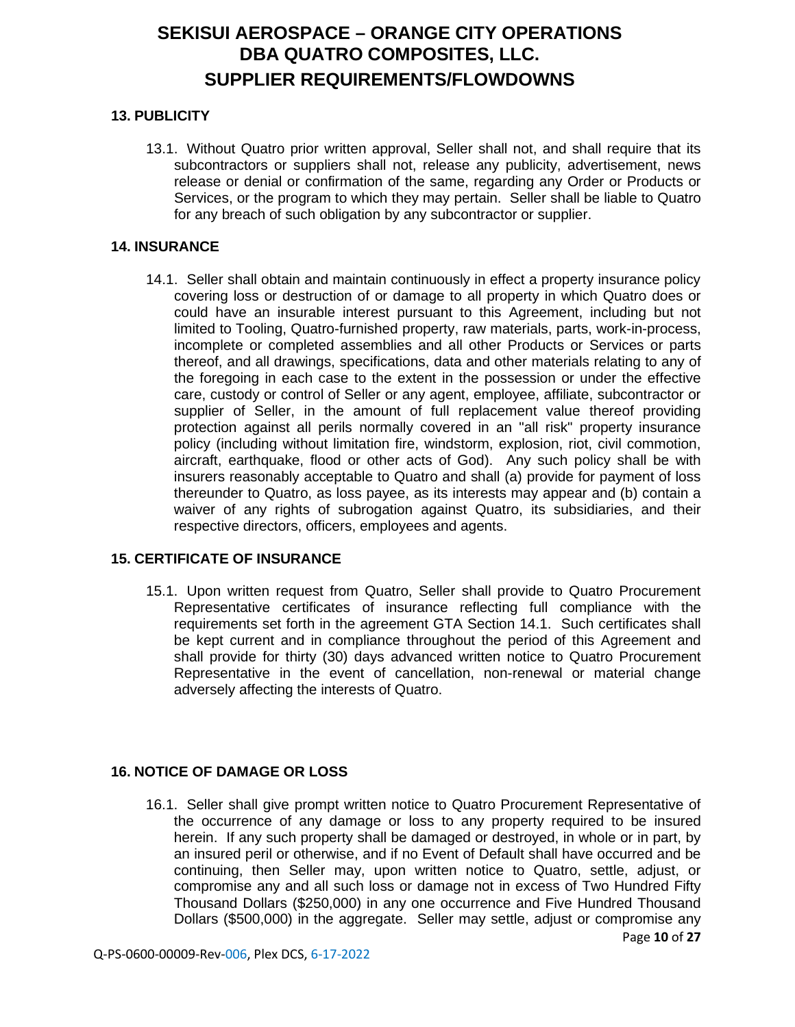## **13. PUBLICITY**

13.1. Without Quatro prior written approval, Seller shall not, and shall require that its subcontractors or suppliers shall not, release any publicity, advertisement, news release or denial or confirmation of the same, regarding any Order or Products or Services, or the program to which they may pertain. Seller shall be liable to Quatro for any breach of such obligation by any subcontractor or supplier.

### **14. INSURANCE**

14.1. Seller shall obtain and maintain continuously in effect a property insurance policy covering loss or destruction of or damage to all property in which Quatro does or could have an insurable interest pursuant to this Agreement, including but not limited to Tooling, Quatro-furnished property, raw materials, parts, work-in-process, incomplete or completed assemblies and all other Products or Services or parts thereof, and all drawings, specifications, data and other materials relating to any of the foregoing in each case to the extent in the possession or under the effective care, custody or control of Seller or any agent, employee, affiliate, subcontractor or supplier of Seller, in the amount of full replacement value thereof providing protection against all perils normally covered in an "all risk" property insurance policy (including without limitation fire, windstorm, explosion, riot, civil commotion, aircraft, earthquake, flood or other acts of God). Any such policy shall be with insurers reasonably acceptable to Quatro and shall (a) provide for payment of loss thereunder to Quatro, as loss payee, as its interests may appear and (b) contain a waiver of any rights of subrogation against Quatro, its subsidiaries, and their respective directors, officers, employees and agents.

### **15. CERTIFICATE OF INSURANCE**

15.1. Upon written request from Quatro, Seller shall provide to Quatro Procurement Representative certificates of insurance reflecting full compliance with the requirements set forth in the agreement GTA Section 14.1. Such certificates shall be kept current and in compliance throughout the period of this Agreement and shall provide for thirty (30) days advanced written notice to Quatro Procurement Representative in the event of cancellation, non-renewal or material change adversely affecting the interests of Quatro.

## **16. NOTICE OF DAMAGE OR LOSS**

Page **10** of **27** 16.1. Seller shall give prompt written notice to Quatro Procurement Representative of the occurrence of any damage or loss to any property required to be insured herein. If any such property shall be damaged or destroyed, in whole or in part, by an insured peril or otherwise, and if no Event of Default shall have occurred and be continuing, then Seller may, upon written notice to Quatro, settle, adjust, or compromise any and all such loss or damage not in excess of Two Hundred Fifty Thousand Dollars (\$250,000) in any one occurrence and Five Hundred Thousand Dollars (\$500,000) in the aggregate. Seller may settle, adjust or compromise any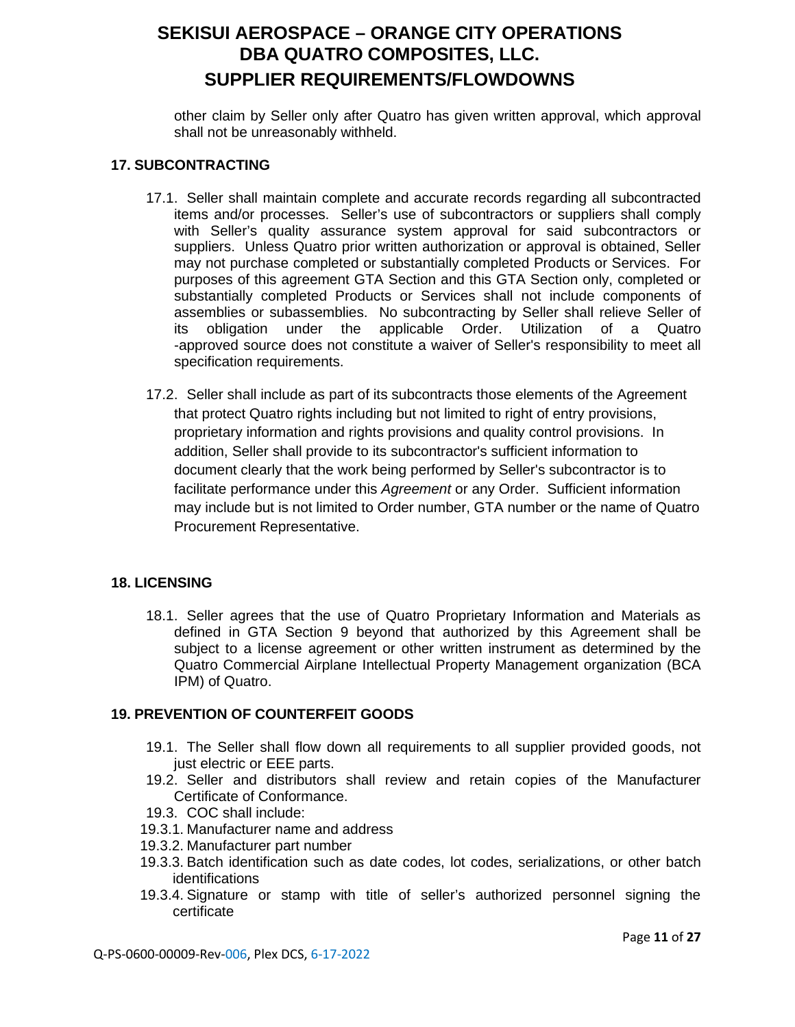other claim by Seller only after Quatro has given written approval, which approval shall not be unreasonably withheld.

### **17. SUBCONTRACTING**

- 17.1. Seller shall maintain complete and accurate records regarding all subcontracted items and/or processes. Seller's use of subcontractors or suppliers shall comply with Seller's quality assurance system approval for said subcontractors or suppliers. Unless Quatro prior written authorization or approval is obtained, Seller may not purchase completed or substantially completed Products or Services. For purposes of this agreement GTA Section and this GTA Section only, completed or substantially completed Products or Services shall not include components of assemblies or subassemblies. No subcontracting by Seller shall relieve Seller of its obligation under the applicable Order. Utilization of a Quatro -approved source does not constitute a waiver of Seller's responsibility to meet all specification requirements.
- 17.2. Seller shall include as part of its subcontracts those elements of the Agreement that protect Quatro rights including but not limited to right of entry provisions, proprietary information and rights provisions and quality control provisions. In addition, Seller shall provide to its subcontractor's sufficient information to document clearly that the work being performed by Seller's subcontractor is to facilitate performance under this *Agreement* or any Order. Sufficient information may include but is not limited to Order number, GTA number or the name of Quatro Procurement Representative.

### **18. LICENSING**

18.1. Seller agrees that the use of Quatro Proprietary Information and Materials as defined in GTA Section 9 beyond that authorized by this Agreement shall be subject to a license agreement or other written instrument as determined by the Quatro Commercial Airplane Intellectual Property Management organization (BCA IPM) of Quatro.

### **19. PREVENTION OF COUNTERFEIT GOODS**

- 19.1. The Seller shall flow down all requirements to all supplier provided goods, not just electric or EEE parts.
- 19.2. Seller and distributors shall review and retain copies of the Manufacturer Certificate of Conformance.
- 19.3. COC shall include:
- 19.3.1. Manufacturer name and address
- 19.3.2. Manufacturer part number
- 19.3.3. Batch identification such as date codes, lot codes, serializations, or other batch identifications
- 19.3.4. Signature or stamp with title of seller's authorized personnel signing the certificate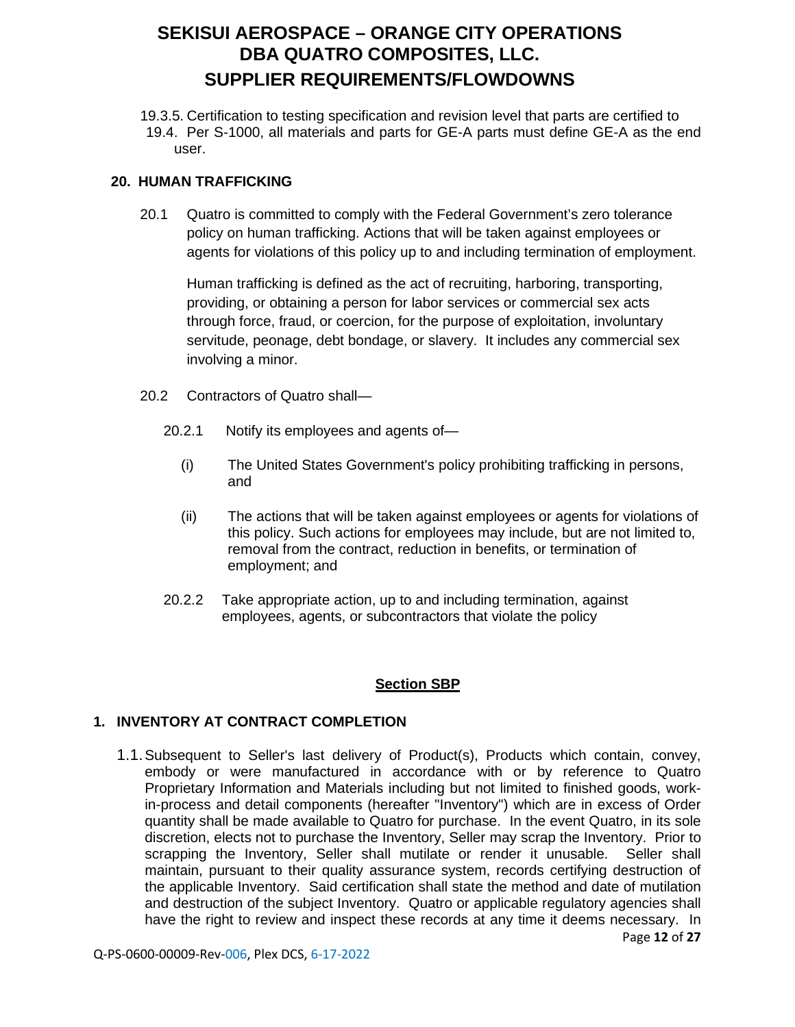19.3.5. Certification to testing specification and revision level that parts are certified to 19.4. Per S-1000, all materials and parts for GE-A parts must define GE-A as the end user.

## **20. HUMAN TRAFFICKING**

20.1 Quatro is committed to comply with the Federal Government's zero tolerance policy on human trafficking. Actions that will be taken against employees or agents for violations of this policy up to and including termination of employment.

Human trafficking is defined as the act of recruiting, harboring, transporting, providing, or obtaining a person for labor services or commercial sex acts through force, fraud, or coercion, for the purpose of exploitation, involuntary servitude, peonage, debt bondage, or slavery. It includes any commercial sex involving a minor.

- 20.2 Contractors of Quatro shall—
	- 20.2.1 Notify its employees and agents of—
		- (i) The United States Government's policy prohibiting trafficking in persons, and
		- (ii) The actions that will be taken against employees or agents for violations of this policy. Such actions for employees may include, but are not limited to, removal from the contract, reduction in benefits, or termination of employment; and
	- 20.2.2 Take appropriate action, up to and including termination, against employees, agents, or subcontractors that violate the policy

## **Section SBP**

## **1. INVENTORY AT CONTRACT COMPLETION**

Page **12** of **27** 1.1.Subsequent to Seller's last delivery of Product(s), Products which contain, convey, embody or were manufactured in accordance with or by reference to Quatro Proprietary Information and Materials including but not limited to finished goods, workin-process and detail components (hereafter "Inventory") which are in excess of Order quantity shall be made available to Quatro for purchase. In the event Quatro, in its sole discretion, elects not to purchase the Inventory, Seller may scrap the Inventory. Prior to scrapping the Inventory, Seller shall mutilate or render it unusable. Seller shall maintain, pursuant to their quality assurance system, records certifying destruction of the applicable Inventory. Said certification shall state the method and date of mutilation and destruction of the subject Inventory. Quatro or applicable regulatory agencies shall have the right to review and inspect these records at any time it deems necessary. In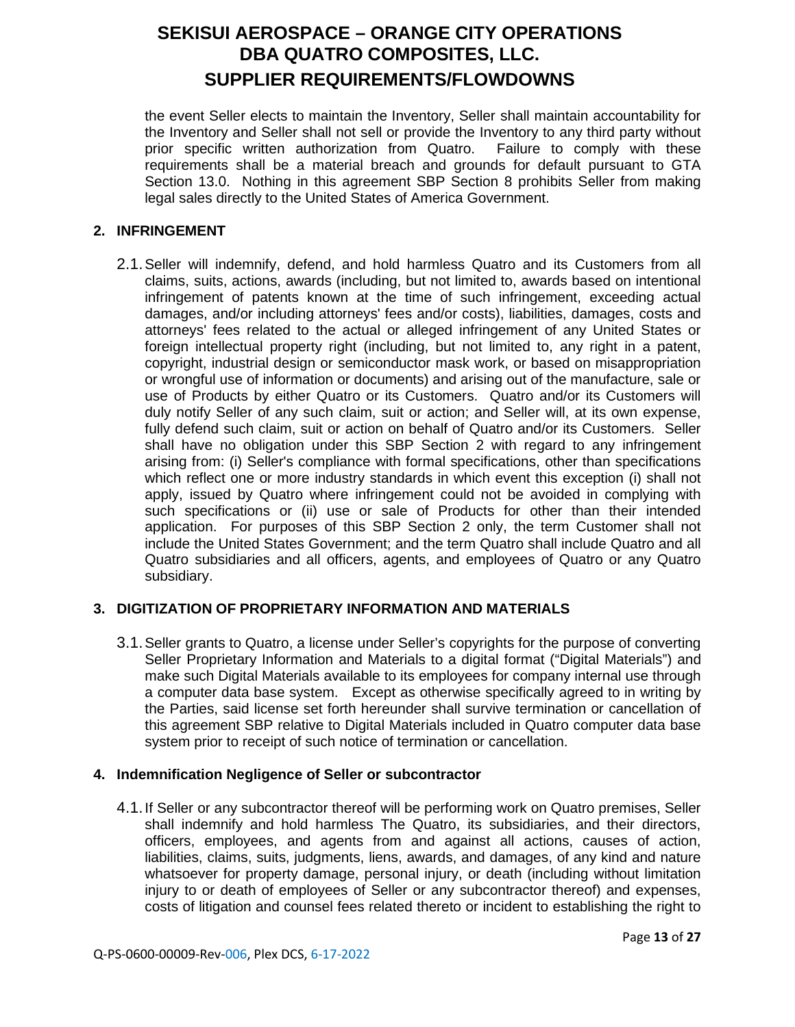the event Seller elects to maintain the Inventory, Seller shall maintain accountability for the Inventory and Seller shall not sell or provide the Inventory to any third party without prior specific written authorization from Quatro. Failure to comply with these requirements shall be a material breach and grounds for default pursuant to GTA Section 13.0. Nothing in this agreement SBP Section 8 prohibits Seller from making legal sales directly to the United States of America Government.

### **2. INFRINGEMENT**

2.1.Seller will indemnify, defend, and hold harmless Quatro and its Customers from all claims, suits, actions, awards (including, but not limited to, awards based on intentional infringement of patents known at the time of such infringement, exceeding actual damages, and/or including attorneys' fees and/or costs), liabilities, damages, costs and attorneys' fees related to the actual or alleged infringement of any United States or foreign intellectual property right (including, but not limited to, any right in a patent, copyright, industrial design or semiconductor mask work, or based on misappropriation or wrongful use of information or documents) and arising out of the manufacture, sale or use of Products by either Quatro or its Customers. Quatro and/or its Customers will duly notify Seller of any such claim, suit or action; and Seller will, at its own expense, fully defend such claim, suit or action on behalf of Quatro and/or its Customers. Seller shall have no obligation under this SBP Section 2 with regard to any infringement arising from: (i) Seller's compliance with formal specifications, other than specifications which reflect one or more industry standards in which event this exception (i) shall not apply, issued by Quatro where infringement could not be avoided in complying with such specifications or (ii) use or sale of Products for other than their intended application. For purposes of this SBP Section 2 only, the term Customer shall not include the United States Government; and the term Quatro shall include Quatro and all Quatro subsidiaries and all officers, agents, and employees of Quatro or any Quatro subsidiary.

## **3. DIGITIZATION OF PROPRIETARY INFORMATION AND MATERIALS**

3.1.Seller grants to Quatro, a license under Seller's copyrights for the purpose of converting Seller Proprietary Information and Materials to a digital format ("Digital Materials") and make such Digital Materials available to its employees for company internal use through a computer data base system. Except as otherwise specifically agreed to in writing by the Parties, said license set forth hereunder shall survive termination or cancellation of this agreement SBP relative to Digital Materials included in Quatro computer data base system prior to receipt of such notice of termination or cancellation.

### **4. Indemnification Negligence of Seller or subcontractor**

4.1.If Seller or any subcontractor thereof will be performing work on Quatro premises, Seller shall indemnify and hold harmless The Quatro, its subsidiaries, and their directors, officers, employees, and agents from and against all actions, causes of action, liabilities, claims, suits, judgments, liens, awards, and damages, of any kind and nature whatsoever for property damage, personal injury, or death (including without limitation injury to or death of employees of Seller or any subcontractor thereof) and expenses, costs of litigation and counsel fees related thereto or incident to establishing the right to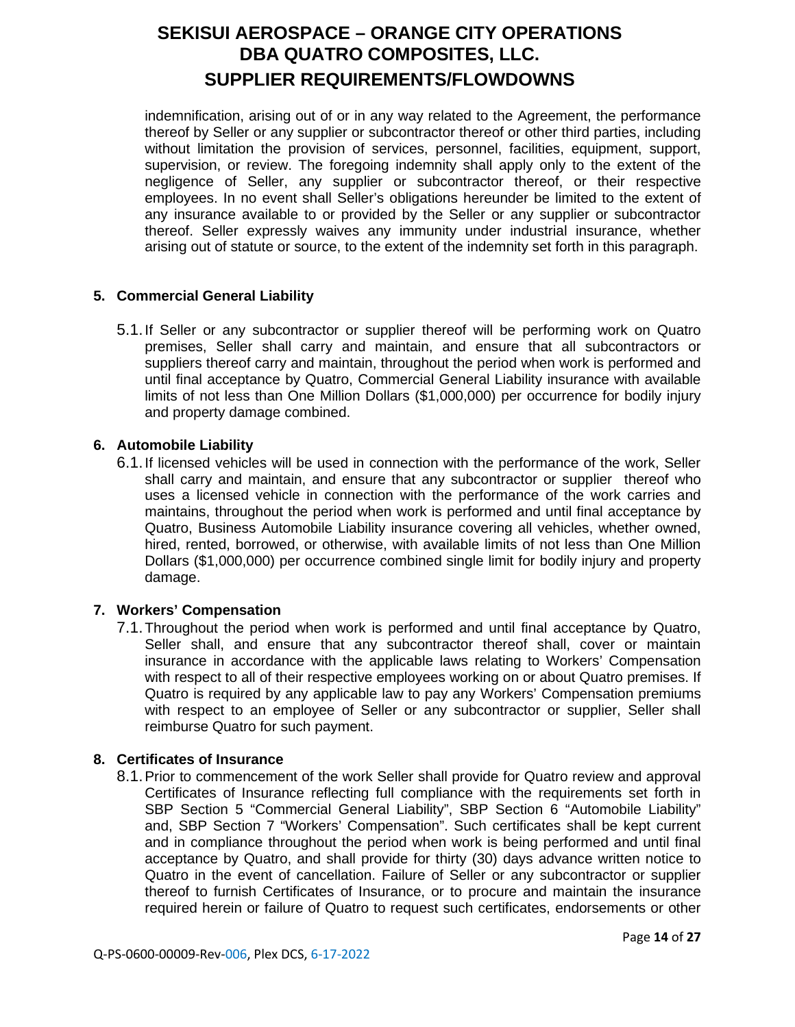indemnification, arising out of or in any way related to the Agreement, the performance thereof by Seller or any supplier or subcontractor thereof or other third parties, including without limitation the provision of services, personnel, facilities, equipment, support, supervision, or review. The foregoing indemnity shall apply only to the extent of the negligence of Seller, any supplier or subcontractor thereof, or their respective employees. In no event shall Seller's obligations hereunder be limited to the extent of any insurance available to or provided by the Seller or any supplier or subcontractor thereof. Seller expressly waives any immunity under industrial insurance, whether arising out of statute or source, to the extent of the indemnity set forth in this paragraph.

## **5. Commercial General Liability**

5.1.If Seller or any subcontractor or supplier thereof will be performing work on Quatro premises, Seller shall carry and maintain, and ensure that all subcontractors or suppliers thereof carry and maintain, throughout the period when work is performed and until final acceptance by Quatro, Commercial General Liability insurance with available limits of not less than One Million Dollars (\$1,000,000) per occurrence for bodily injury and property damage combined.

## **6. Automobile Liability**

6.1.If licensed vehicles will be used in connection with the performance of the work, Seller shall carry and maintain, and ensure that any subcontractor or supplier thereof who uses a licensed vehicle in connection with the performance of the work carries and maintains, throughout the period when work is performed and until final acceptance by Quatro, Business Automobile Liability insurance covering all vehicles, whether owned, hired, rented, borrowed, or otherwise, with available limits of not less than One Million Dollars (\$1,000,000) per occurrence combined single limit for bodily injury and property damage.

## **7. Workers' Compensation**

7.1.Throughout the period when work is performed and until final acceptance by Quatro, Seller shall, and ensure that any subcontractor thereof shall, cover or maintain insurance in accordance with the applicable laws relating to Workers' Compensation with respect to all of their respective employees working on or about Quatro premises. If Quatro is required by any applicable law to pay any Workers' Compensation premiums with respect to an employee of Seller or any subcontractor or supplier, Seller shall reimburse Quatro for such payment.

## **8. Certificates of Insurance**

8.1.Prior to commencement of the work Seller shall provide for Quatro review and approval Certificates of Insurance reflecting full compliance with the requirements set forth in SBP Section 5 "Commercial General Liability", SBP Section 6 "Automobile Liability" and, SBP Section 7 "Workers' Compensation". Such certificates shall be kept current and in compliance throughout the period when work is being performed and until final acceptance by Quatro, and shall provide for thirty (30) days advance written notice to Quatro in the event of cancellation. Failure of Seller or any subcontractor or supplier thereof to furnish Certificates of Insurance, or to procure and maintain the insurance required herein or failure of Quatro to request such certificates, endorsements or other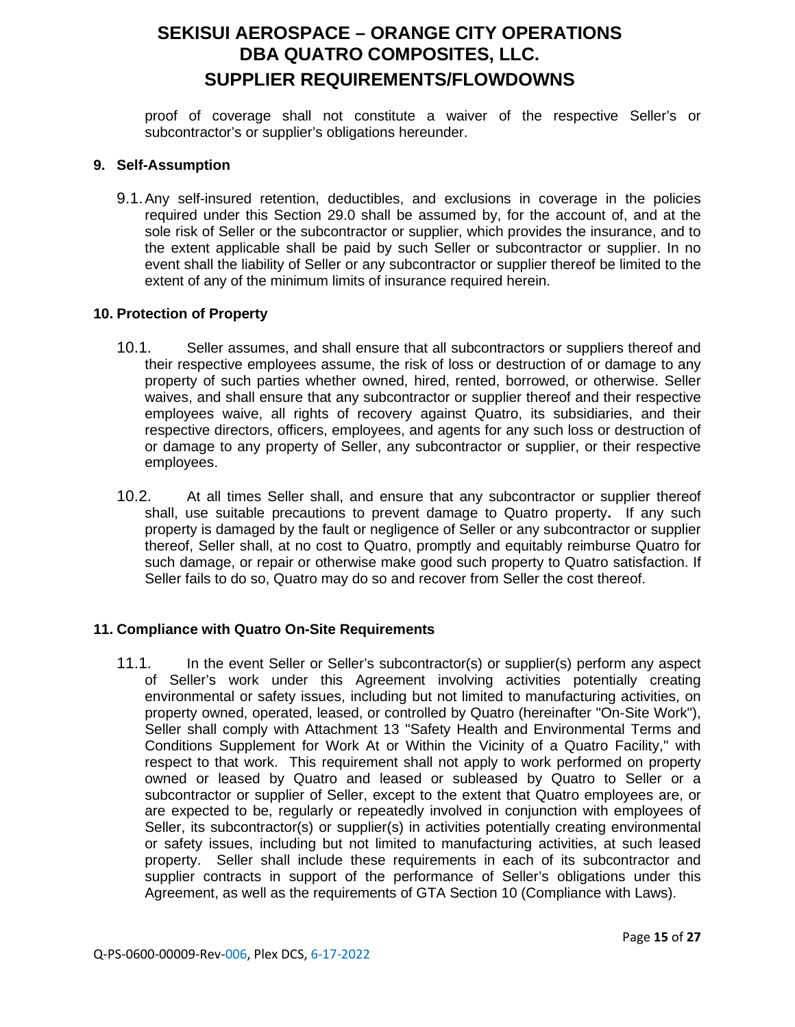proof of coverage shall not constitute a waiver of the respective Seller's or subcontractor's or supplier's obligations hereunder.

#### **9. Self-Assumption**

9.1.Any self-insured retention, deductibles, and exclusions in coverage in the policies required under this Section 29.0 shall be assumed by, for the account of, and at the sole risk of Seller or the subcontractor or supplier, which provides the insurance, and to the extent applicable shall be paid by such Seller or subcontractor or supplier. In no event shall the liability of Seller or any subcontractor or supplier thereof be limited to the extent of any of the minimum limits of insurance required herein.

### **10. Protection of Property**

- 10.1. Seller assumes, and shall ensure that all subcontractors or suppliers thereof and their respective employees assume, the risk of loss or destruction of or damage to any property of such parties whether owned, hired, rented, borrowed, or otherwise. Seller waives, and shall ensure that any subcontractor or supplier thereof and their respective employees waive, all rights of recovery against Quatro, its subsidiaries, and their respective directors, officers, employees, and agents for any such loss or destruction of or damage to any property of Seller, any subcontractor or supplier, or their respective employees.
- 10.2. At all times Seller shall, and ensure that any subcontractor or supplier thereof shall, use suitable precautions to prevent damage to Quatro property**.** If any such property is damaged by the fault or negligence of Seller or any subcontractor or supplier thereof, Seller shall, at no cost to Quatro, promptly and equitably reimburse Quatro for such damage, or repair or otherwise make good such property to Quatro satisfaction. If Seller fails to do so, Quatro may do so and recover from Seller the cost thereof.

### **11. Compliance with Quatro On-Site Requirements**

11.1. In the event Seller or Seller's subcontractor(s) or supplier(s) perform any aspect of Seller's work under this Agreement involving activities potentially creating environmental or safety issues, including but not limited to manufacturing activities, on property owned, operated, leased, or controlled by Quatro (hereinafter "On-Site Work"), Seller shall comply with Attachment 13 "Safety Health and Environmental Terms and Conditions Supplement for Work At or Within the Vicinity of a Quatro Facility," with respect to that work. This requirement shall not apply to work performed on property owned or leased by Quatro and leased or subleased by Quatro to Seller or a subcontractor or supplier of Seller, except to the extent that Quatro employees are, or are expected to be, regularly or repeatedly involved in conjunction with employees of Seller, its subcontractor(s) or supplier(s) in activities potentially creating environmental or safety issues, including but not limited to manufacturing activities, at such leased property. Seller shall include these requirements in each of its subcontractor and supplier contracts in support of the performance of Seller's obligations under this Agreement, as well as the requirements of GTA Section 10 (Compliance with Laws).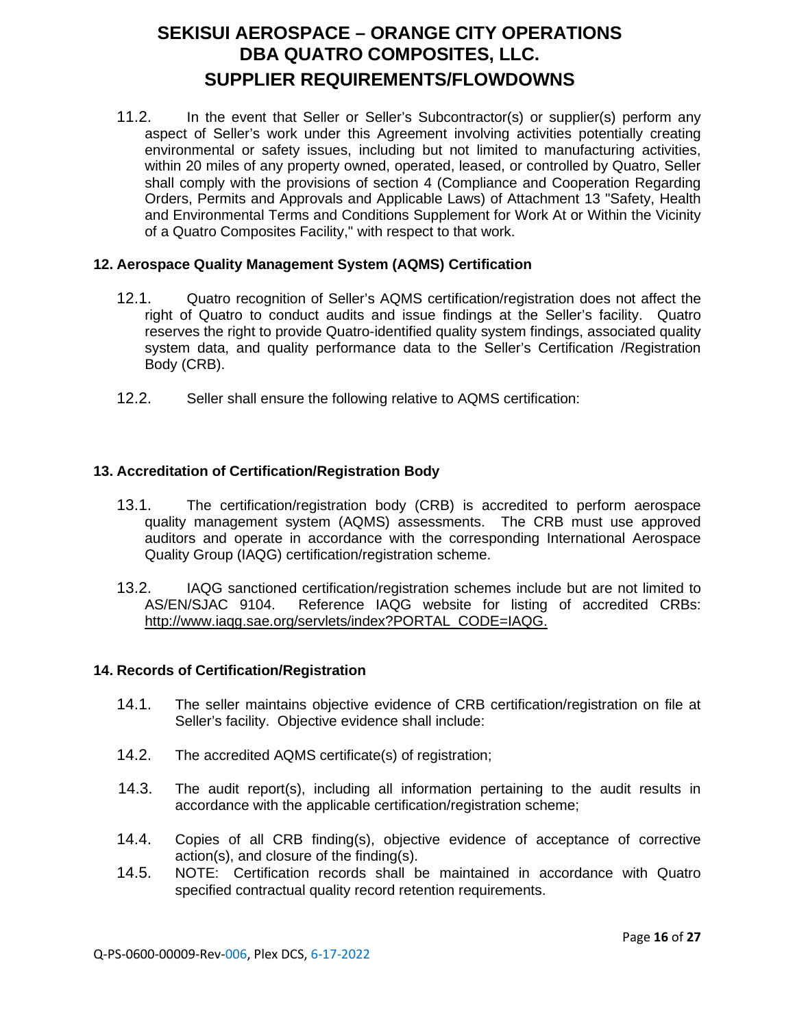11.2. In the event that Seller or Seller's Subcontractor(s) or supplier(s) perform any aspect of Seller's work under this Agreement involving activities potentially creating environmental or safety issues, including but not limited to manufacturing activities, within 20 miles of any property owned, operated, leased, or controlled by Quatro, Seller shall comply with the provisions of section 4 (Compliance and Cooperation Regarding Orders, Permits and Approvals and Applicable Laws) of Attachment 13 "Safety, Health and Environmental Terms and Conditions Supplement for Work At or Within the Vicinity of a Quatro Composites Facility," with respect to that work.

### **12. Aerospace Quality Management System (AQMS) Certification**

- 12.1. Quatro recognition of Seller's AQMS certification/registration does not affect the right of Quatro to conduct audits and issue findings at the Seller's facility. Quatro reserves the right to provide Quatro-identified quality system findings, associated quality system data, and quality performance data to the Seller's Certification /Registration Body (CRB).
- 12.2. Seller shall ensure the following relative to AQMS certification:

### **13. Accreditation of Certification/Registration Body**

- 13.1. The certification/registration body (CRB) is accredited to perform aerospace quality management system (AQMS) assessments. The CRB must use approved auditors and operate in accordance with the corresponding International Aerospace Quality Group (IAQG) certification/registration scheme.
- 13.2. IAQG sanctioned certification/registration schemes include but are not limited to Reference IAQG website for listing of accredited CRBs: [http://www.iaqg.sae.org/servlets/index?PORTAL\\_CODE=IAQG.](http://www.iaqg.sae.org/servlets/index?PORTAL_CODE=IAQG)

### **14. Records of Certification/Registration**

- 14.1. The seller maintains objective evidence of CRB certification/registration on file at Seller's facility. Objective evidence shall include:
- 14.2. The accredited AQMS certificate(s) of registration;
- 14.3. The audit report(s), including all information pertaining to the audit results in accordance with the applicable certification/registration scheme;
- 14.4. Copies of all CRB finding(s), objective evidence of acceptance of corrective action(s), and closure of the finding(s).
- 14.5. NOTE: Certification records shall be maintained in accordance with Quatro specified contractual quality record retention requirements.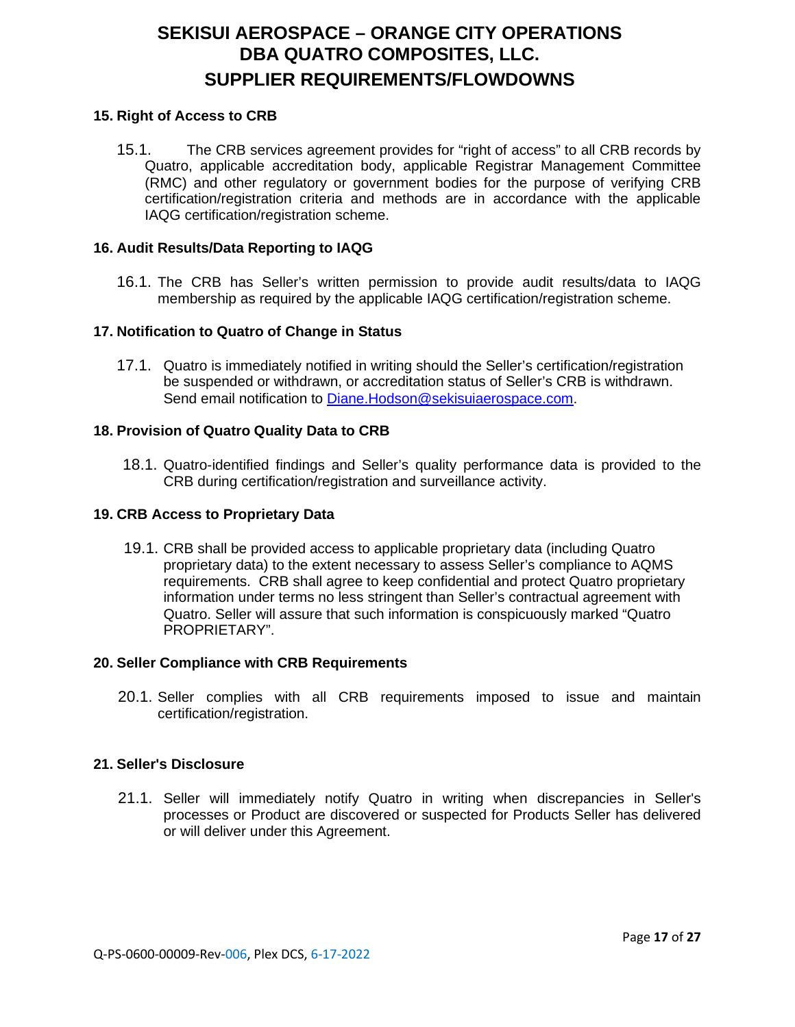### **15. Right of Access to CRB**

15.1. The CRB services agreement provides for "right of access" to all CRB records by Quatro, applicable accreditation body, applicable Registrar Management Committee (RMC) and other regulatory or government bodies for the purpose of verifying CRB certification/registration criteria and methods are in accordance with the applicable IAQG certification/registration scheme.

### **16. Audit Results/Data Reporting to IAQG**

16.1. The CRB has Seller's written permission to provide audit results/data to IAQG membership as required by the applicable IAQG certification/registration scheme.

#### **17. Notification to Quatro of Change in Status**

17.1. Quatro is immediately notified in writing should the Seller's certification/registration be suspended or withdrawn, or accreditation status of Seller's CRB is withdrawn. Send email notification to Diane. Hodson@sekisuiaerospace.com.

#### **18. Provision of Quatro Quality Data to CRB**

18.1. Quatro-identified findings and Seller's quality performance data is provided to the CRB during certification/registration and surveillance activity.

#### **19. CRB Access to Proprietary Data**

19.1. CRB shall be provided access to applicable proprietary data (including Quatro proprietary data) to the extent necessary to assess Seller's compliance to AQMS requirements. CRB shall agree to keep confidential and protect Quatro proprietary information under terms no less stringent than Seller's contractual agreement with Quatro. Seller will assure that such information is conspicuously marked "Quatro PROPRIETARY".

#### **20. Seller Compliance with CRB Requirements**

20.1. Seller complies with all CRB requirements imposed to issue and maintain certification/registration.

#### **21. Seller's Disclosure**

21.1. Seller will immediately notify Quatro in writing when discrepancies in Seller's processes or Product are discovered or suspected for Products Seller has delivered or will deliver under this Agreement.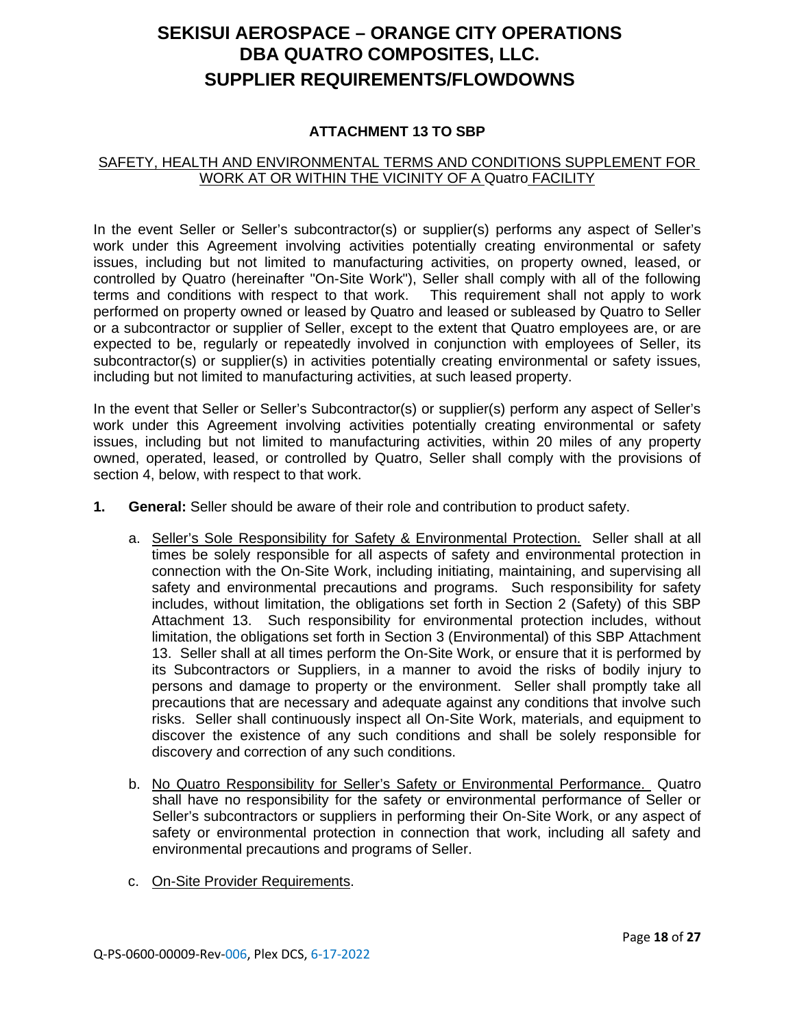### **ATTACHMENT 13 TO SBP**

### SAFETY, HEALTH AND ENVIRONMENTAL TERMS AND CONDITIONS SUPPLEMENT FOR WORK AT OR WITHIN THE VICINITY OF A Quatro FACILITY

In the event Seller or Seller's subcontractor(s) or supplier(s) performs any aspect of Seller's work under this Agreement involving activities potentially creating environmental or safety issues, including but not limited to manufacturing activities, on property owned, leased, or controlled by Quatro (hereinafter "On-Site Work"), Seller shall comply with all of the following terms and conditions with respect to that work. This requirement shall not apply to work performed on property owned or leased by Quatro and leased or subleased by Quatro to Seller or a subcontractor or supplier of Seller, except to the extent that Quatro employees are, or are expected to be, regularly or repeatedly involved in conjunction with employees of Seller, its subcontractor(s) or supplier(s) in activities potentially creating environmental or safety issues, including but not limited to manufacturing activities, at such leased property.

In the event that Seller or Seller's Subcontractor(s) or supplier(s) perform any aspect of Seller's work under this Agreement involving activities potentially creating environmental or safety issues, including but not limited to manufacturing activities, within 20 miles of any property owned, operated, leased, or controlled by Quatro, Seller shall comply with the provisions of section 4, below, with respect to that work.

- **1. General:** Seller should be aware of their role and contribution to product safety.
	- a. Seller's Sole Responsibility for Safety & Environmental Protection. Seller shall at all times be solely responsible for all aspects of safety and environmental protection in connection with the On-Site Work, including initiating, maintaining, and supervising all safety and environmental precautions and programs. Such responsibility for safety includes, without limitation, the obligations set forth in Section 2 (Safety) of this SBP Attachment 13. Such responsibility for environmental protection includes, without limitation, the obligations set forth in Section 3 (Environmental) of this SBP Attachment 13. Seller shall at all times perform the On-Site Work, or ensure that it is performed by its Subcontractors or Suppliers, in a manner to avoid the risks of bodily injury to persons and damage to property or the environment. Seller shall promptly take all precautions that are necessary and adequate against any conditions that involve such risks. Seller shall continuously inspect all On-Site Work, materials, and equipment to discover the existence of any such conditions and shall be solely responsible for discovery and correction of any such conditions.
	- b. No Quatro Responsibility for Seller's Safety or Environmental Performance. Quatro shall have no responsibility for the safety or environmental performance of Seller or Seller's subcontractors or suppliers in performing their On-Site Work, or any aspect of safety or environmental protection in connection that work, including all safety and environmental precautions and programs of Seller.
	- c. On-Site Provider Requirements.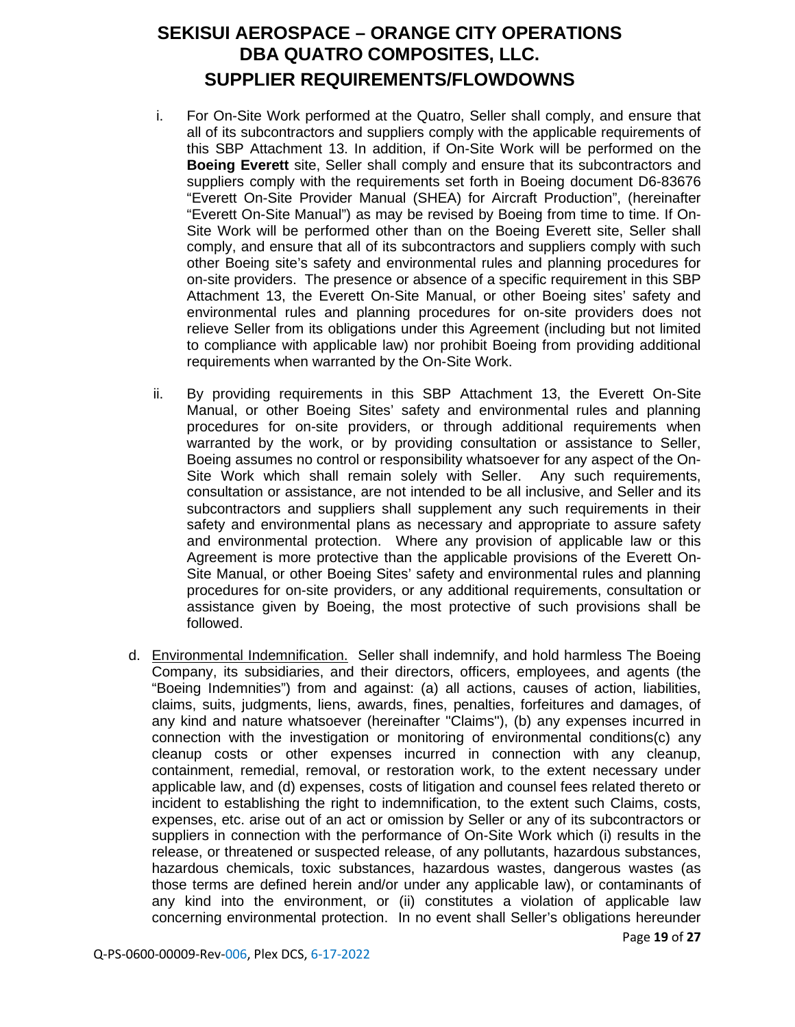- i. For On-Site Work performed at the Quatro, Seller shall comply, and ensure that all of its subcontractors and suppliers comply with the applicable requirements of this SBP Attachment 13. In addition, if On-Site Work will be performed on the **Boeing Everett** site, Seller shall comply and ensure that its subcontractors and suppliers comply with the requirements set forth in Boeing document D6-83676 "Everett On-Site Provider Manual (SHEA) for Aircraft Production", (hereinafter "Everett On-Site Manual") as may be revised by Boeing from time to time. If On-Site Work will be performed other than on the Boeing Everett site, Seller shall comply, and ensure that all of its subcontractors and suppliers comply with such other Boeing site's safety and environmental rules and planning procedures for on-site providers. The presence or absence of a specific requirement in this SBP Attachment 13, the Everett On-Site Manual, or other Boeing sites' safety and environmental rules and planning procedures for on-site providers does not relieve Seller from its obligations under this Agreement (including but not limited to compliance with applicable law) nor prohibit Boeing from providing additional requirements when warranted by the On-Site Work.
- ii. By providing requirements in this SBP Attachment 13, the Everett On-Site Manual, or other Boeing Sites' safety and environmental rules and planning procedures for on-site providers, or through additional requirements when warranted by the work, or by providing consultation or assistance to Seller, Boeing assumes no control or responsibility whatsoever for any aspect of the On-Site Work which shall remain solely with Seller. Any such requirements, consultation or assistance, are not intended to be all inclusive, and Seller and its subcontractors and suppliers shall supplement any such requirements in their safety and environmental plans as necessary and appropriate to assure safety and environmental protection. Where any provision of applicable law or this Agreement is more protective than the applicable provisions of the Everett On-Site Manual, or other Boeing Sites' safety and environmental rules and planning procedures for on-site providers, or any additional requirements, consultation or assistance given by Boeing, the most protective of such provisions shall be followed.
- d. Environmental Indemnification. Seller shall indemnify, and hold harmless The Boeing Company, its subsidiaries, and their directors, officers, employees, and agents (the "Boeing Indemnities") from and against: (a) all actions, causes of action, liabilities, claims, suits, judgments, liens, awards, fines, penalties, forfeitures and damages, of any kind and nature whatsoever (hereinafter "Claims"), (b) any expenses incurred in connection with the investigation or monitoring of environmental conditions(c) any cleanup costs or other expenses incurred in connection with any cleanup, containment, remedial, removal, or restoration work, to the extent necessary under applicable law, and (d) expenses, costs of litigation and counsel fees related thereto or incident to establishing the right to indemnification, to the extent such Claims, costs, expenses, etc. arise out of an act or omission by Seller or any of its subcontractors or suppliers in connection with the performance of On-Site Work which (i) results in the release, or threatened or suspected release, of any pollutants, hazardous substances, hazardous chemicals, toxic substances, hazardous wastes, dangerous wastes (as those terms are defined herein and/or under any applicable law), or contaminants of any kind into the environment, or (ii) constitutes a violation of applicable law concerning environmental protection. In no event shall Seller's obligations hereunder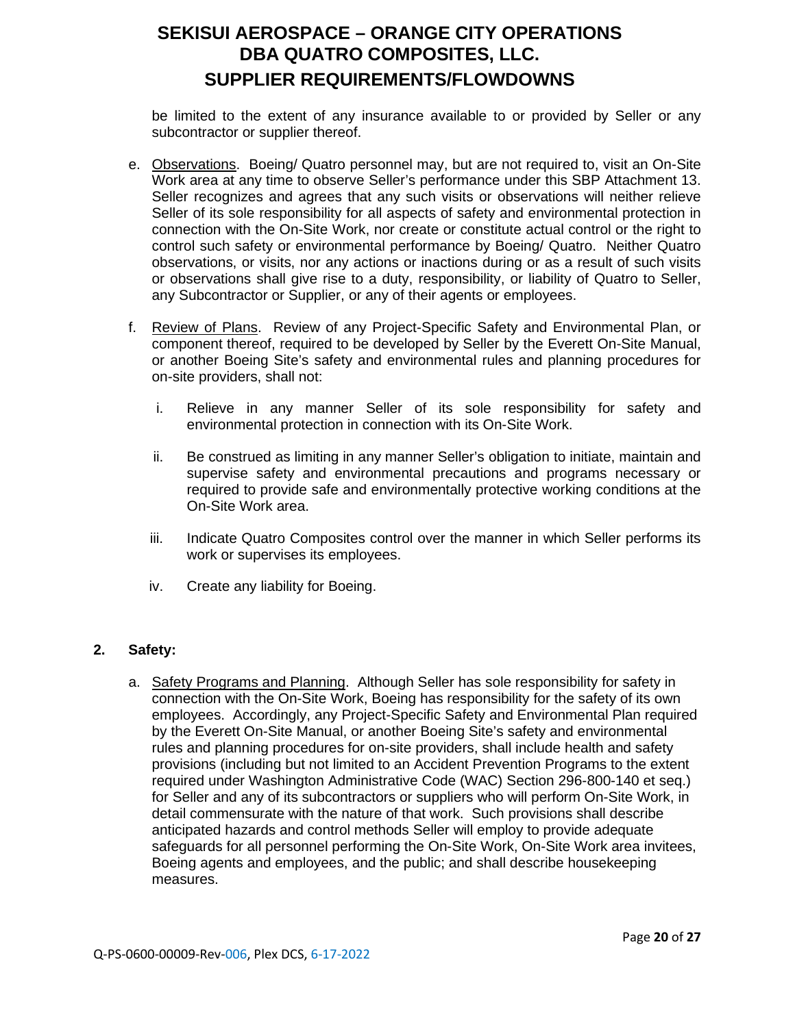be limited to the extent of any insurance available to or provided by Seller or any subcontractor or supplier thereof.

- e. Observations. Boeing/ Quatro personnel may, but are not required to, visit an On-Site Work area at any time to observe Seller's performance under this SBP Attachment 13. Seller recognizes and agrees that any such visits or observations will neither relieve Seller of its sole responsibility for all aspects of safety and environmental protection in connection with the On-Site Work, nor create or constitute actual control or the right to control such safety or environmental performance by Boeing/ Quatro. Neither Quatro observations, or visits, nor any actions or inactions during or as a result of such visits or observations shall give rise to a duty, responsibility, or liability of Quatro to Seller, any Subcontractor or Supplier, or any of their agents or employees.
- f. Review of Plans. Review of any Project-Specific Safety and Environmental Plan, or component thereof, required to be developed by Seller by the Everett On-Site Manual, or another Boeing Site's safety and environmental rules and planning procedures for on-site providers, shall not:
	- i. Relieve in any manner Seller of its sole responsibility for safety and environmental protection in connection with its On-Site Work.
	- ii. Be construed as limiting in any manner Seller's obligation to initiate, maintain and supervise safety and environmental precautions and programs necessary or required to provide safe and environmentally protective working conditions at the On-Site Work area.
	- iii. Indicate Quatro Composites control over the manner in which Seller performs its work or supervises its employees.
	- iv. Create any liability for Boeing.

## **2. Safety:**

a. Safety Programs and Planning. Although Seller has sole responsibility for safety in connection with the On-Site Work, Boeing has responsibility for the safety of its own employees. Accordingly, any Project-Specific Safety and Environmental Plan required by the Everett On-Site Manual, or another Boeing Site's safety and environmental rules and planning procedures for on-site providers, shall include health and safety provisions (including but not limited to an Accident Prevention Programs to the extent required under Washington Administrative Code (WAC) Section 296-800-140 et seq.) for Seller and any of its subcontractors or suppliers who will perform On-Site Work, in detail commensurate with the nature of that work. Such provisions shall describe anticipated hazards and control methods Seller will employ to provide adequate safeguards for all personnel performing the On-Site Work, On-Site Work area invitees, Boeing agents and employees, and the public; and shall describe housekeeping measures.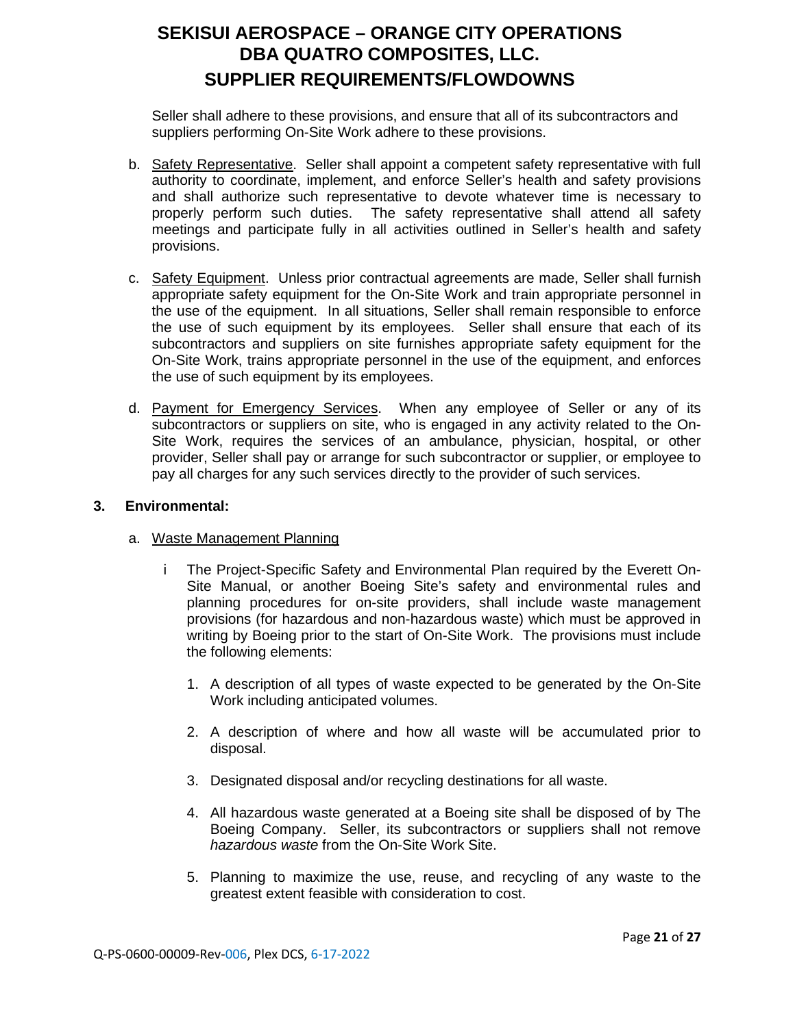Seller shall adhere to these provisions, and ensure that all of its subcontractors and suppliers performing On-Site Work adhere to these provisions.

- b. Safety Representative. Seller shall appoint a competent safety representative with full authority to coordinate, implement, and enforce Seller's health and safety provisions and shall authorize such representative to devote whatever time is necessary to properly perform such duties. The safety representative shall attend all safety meetings and participate fully in all activities outlined in Seller's health and safety provisions.
- c. Safety Equipment. Unless prior contractual agreements are made, Seller shall furnish appropriate safety equipment for the On-Site Work and train appropriate personnel in the use of the equipment. In all situations, Seller shall remain responsible to enforce the use of such equipment by its employees. Seller shall ensure that each of its subcontractors and suppliers on site furnishes appropriate safety equipment for the On-Site Work, trains appropriate personnel in the use of the equipment, and enforces the use of such equipment by its employees.
- d. Payment for Emergency Services. When any employee of Seller or any of its subcontractors or suppliers on site, who is engaged in any activity related to the On-Site Work, requires the services of an ambulance, physician, hospital, or other provider, Seller shall pay or arrange for such subcontractor or supplier, or employee to pay all charges for any such services directly to the provider of such services.

### **3. Environmental:**

### a. Waste Management Planning

- i The Project-Specific Safety and Environmental Plan required by the Everett On-Site Manual, or another Boeing Site's safety and environmental rules and planning procedures for on-site providers, shall include waste management provisions (for hazardous and non-hazardous waste) which must be approved in writing by Boeing prior to the start of On-Site Work. The provisions must include the following elements:
	- 1. A description of all types of waste expected to be generated by the On-Site Work including anticipated volumes.
	- 2. A description of where and how all waste will be accumulated prior to disposal.
	- 3. Designated disposal and/or recycling destinations for all waste.
	- 4. All hazardous waste generated at a Boeing site shall be disposed of by The Boeing Company. Seller, its subcontractors or suppliers shall not remove *hazardous waste* from the On-Site Work Site.
	- 5. Planning to maximize the use, reuse, and recycling of any waste to the greatest extent feasible with consideration to cost.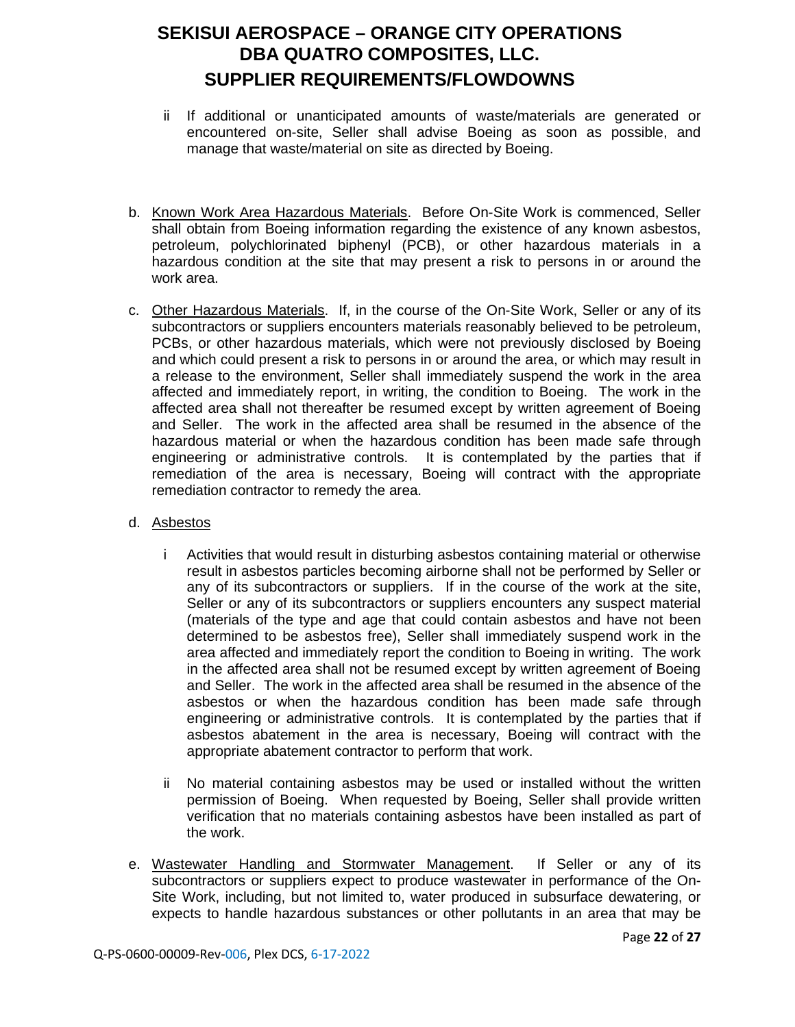- ii If additional or unanticipated amounts of waste/materials are generated or encountered on-site, Seller shall advise Boeing as soon as possible, and manage that waste/material on site as directed by Boeing.
- b. Known Work Area Hazardous Materials. Before On-Site Work is commenced, Seller shall obtain from Boeing information regarding the existence of any known asbestos, petroleum, polychlorinated biphenyl (PCB), or other hazardous materials in a hazardous condition at the site that may present a risk to persons in or around the work area.
- c. Other Hazardous Materials. If, in the course of the On-Site Work, Seller or any of its subcontractors or suppliers encounters materials reasonably believed to be petroleum, PCBs, or other hazardous materials, which were not previously disclosed by Boeing and which could present a risk to persons in or around the area, or which may result in a release to the environment, Seller shall immediately suspend the work in the area affected and immediately report, in writing, the condition to Boeing. The work in the affected area shall not thereafter be resumed except by written agreement of Boeing and Seller. The work in the affected area shall be resumed in the absence of the hazardous material or when the hazardous condition has been made safe through engineering or administrative controls. It is contemplated by the parties that if remediation of the area is necessary, Boeing will contract with the appropriate remediation contractor to remedy the area.
- d. Asbestos
	- i Activities that would result in disturbing asbestos containing material or otherwise result in asbestos particles becoming airborne shall not be performed by Seller or any of its subcontractors or suppliers. If in the course of the work at the site, Seller or any of its subcontractors or suppliers encounters any suspect material (materials of the type and age that could contain asbestos and have not been determined to be asbestos free), Seller shall immediately suspend work in the area affected and immediately report the condition to Boeing in writing. The work in the affected area shall not be resumed except by written agreement of Boeing and Seller. The work in the affected area shall be resumed in the absence of the asbestos or when the hazardous condition has been made safe through engineering or administrative controls. It is contemplated by the parties that if asbestos abatement in the area is necessary, Boeing will contract with the appropriate abatement contractor to perform that work.
	- ii No material containing asbestos may be used or installed without the written permission of Boeing. When requested by Boeing, Seller shall provide written verification that no materials containing asbestos have been installed as part of the work.
- e. Wastewater Handling and Stormwater Management. If Seller or any of its subcontractors or suppliers expect to produce wastewater in performance of the On-Site Work, including, but not limited to, water produced in subsurface dewatering, or expects to handle hazardous substances or other pollutants in an area that may be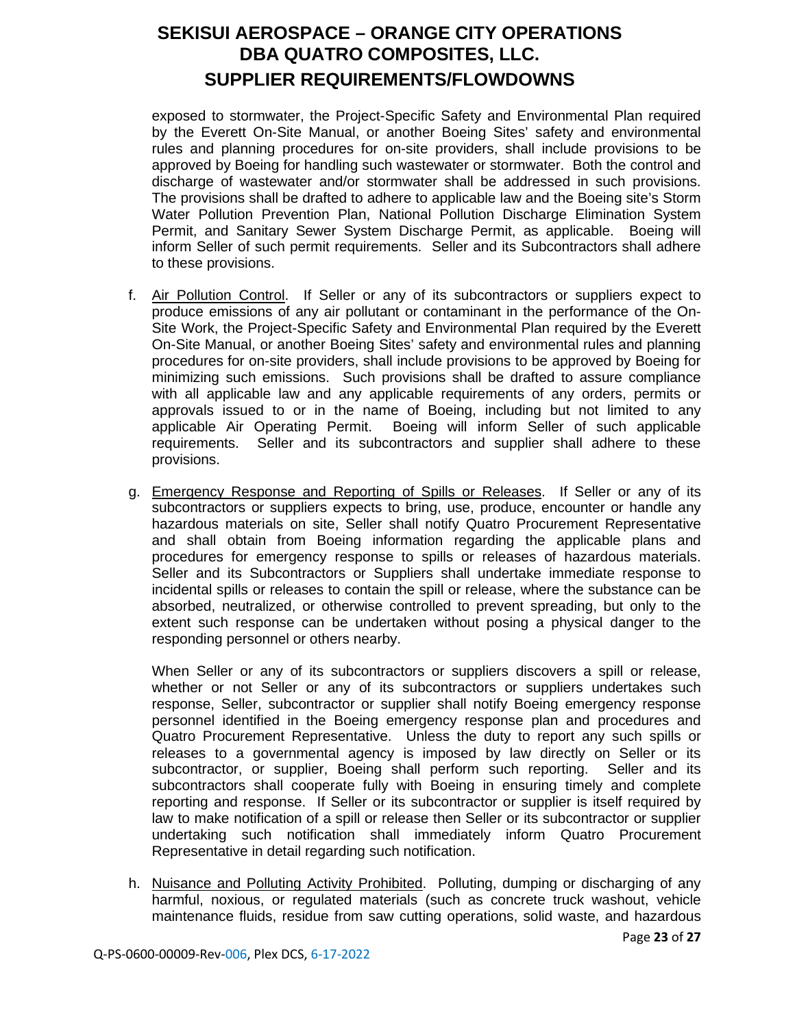exposed to stormwater, the Project-Specific Safety and Environmental Plan required by the Everett On-Site Manual, or another Boeing Sites' safety and environmental rules and planning procedures for on-site providers, shall include provisions to be approved by Boeing for handling such wastewater or stormwater. Both the control and discharge of wastewater and/or stormwater shall be addressed in such provisions. The provisions shall be drafted to adhere to applicable law and the Boeing site's Storm Water Pollution Prevention Plan, National Pollution Discharge Elimination System Permit, and Sanitary Sewer System Discharge Permit, as applicable. Boeing will inform Seller of such permit requirements. Seller and its Subcontractors shall adhere to these provisions.

- f. Air Pollution Control. If Seller or any of its subcontractors or suppliers expect to produce emissions of any air pollutant or contaminant in the performance of the On-Site Work, the Project-Specific Safety and Environmental Plan required by the Everett On-Site Manual, or another Boeing Sites' safety and environmental rules and planning procedures for on-site providers, shall include provisions to be approved by Boeing for minimizing such emissions. Such provisions shall be drafted to assure compliance with all applicable law and any applicable requirements of any orders, permits or approvals issued to or in the name of Boeing, including but not limited to any applicable Air Operating Permit. Boeing will inform Seller of such applicable requirements. Seller and its subcontractors and supplier shall adhere to these provisions.
- g. Emergency Response and Reporting of Spills or Releases. If Seller or any of its subcontractors or suppliers expects to bring, use, produce, encounter or handle any hazardous materials on site, Seller shall notify Quatro Procurement Representative and shall obtain from Boeing information regarding the applicable plans and procedures for emergency response to spills or releases of hazardous materials. Seller and its Subcontractors or Suppliers shall undertake immediate response to incidental spills or releases to contain the spill or release, where the substance can be absorbed, neutralized, or otherwise controlled to prevent spreading, but only to the extent such response can be undertaken without posing a physical danger to the responding personnel or others nearby.

When Seller or any of its subcontractors or suppliers discovers a spill or release, whether or not Seller or any of its subcontractors or suppliers undertakes such response, Seller, subcontractor or supplier shall notify Boeing emergency response personnel identified in the Boeing emergency response plan and procedures and Quatro Procurement Representative. Unless the duty to report any such spills or releases to a governmental agency is imposed by law directly on Seller or its subcontractor, or supplier, Boeing shall perform such reporting. Seller and its subcontractors shall cooperate fully with Boeing in ensuring timely and complete reporting and response. If Seller or its subcontractor or supplier is itself required by law to make notification of a spill or release then Seller or its subcontractor or supplier undertaking such notification shall immediately inform Quatro Procurement Representative in detail regarding such notification.

h. Nuisance and Polluting Activity Prohibited. Polluting, dumping or discharging of any harmful, noxious, or regulated materials (such as concrete truck washout, vehicle maintenance fluids, residue from saw cutting operations, solid waste, and hazardous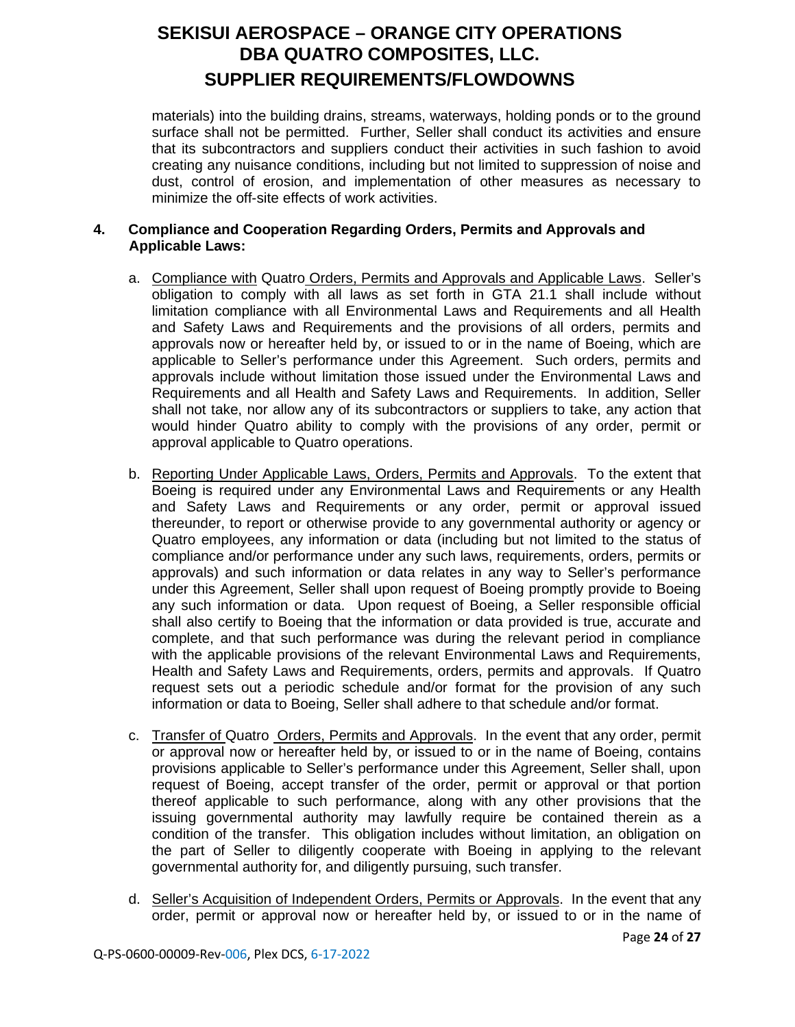materials) into the building drains, streams, waterways, holding ponds or to the ground surface shall not be permitted. Further, Seller shall conduct its activities and ensure that its subcontractors and suppliers conduct their activities in such fashion to avoid creating any nuisance conditions, including but not limited to suppression of noise and dust, control of erosion, and implementation of other measures as necessary to minimize the off-site effects of work activities.

### **4. Compliance and Cooperation Regarding Orders, Permits and Approvals and Applicable Laws:**

- a. Compliance with Quatro Orders, Permits and Approvals and Applicable Laws. Seller's obligation to comply with all laws as set forth in GTA 21.1 shall include without limitation compliance with all Environmental Laws and Requirements and all Health and Safety Laws and Requirements and the provisions of all orders, permits and approvals now or hereafter held by, or issued to or in the name of Boeing, which are applicable to Seller's performance under this Agreement. Such orders, permits and approvals include without limitation those issued under the Environmental Laws and Requirements and all Health and Safety Laws and Requirements. In addition, Seller shall not take, nor allow any of its subcontractors or suppliers to take, any action that would hinder Quatro ability to comply with the provisions of any order, permit or approval applicable to Quatro operations.
- b. Reporting Under Applicable Laws, Orders, Permits and Approvals. To the extent that Boeing is required under any Environmental Laws and Requirements or any Health and Safety Laws and Requirements or any order, permit or approval issued thereunder, to report or otherwise provide to any governmental authority or agency or Quatro employees, any information or data (including but not limited to the status of compliance and/or performance under any such laws, requirements, orders, permits or approvals) and such information or data relates in any way to Seller's performance under this Agreement, Seller shall upon request of Boeing promptly provide to Boeing any such information or data. Upon request of Boeing, a Seller responsible official shall also certify to Boeing that the information or data provided is true, accurate and complete, and that such performance was during the relevant period in compliance with the applicable provisions of the relevant Environmental Laws and Requirements, Health and Safety Laws and Requirements, orders, permits and approvals. If Quatro request sets out a periodic schedule and/or format for the provision of any such information or data to Boeing, Seller shall adhere to that schedule and/or format.
- c. Transfer of Quatro Orders, Permits and Approvals. In the event that any order, permit or approval now or hereafter held by, or issued to or in the name of Boeing, contains provisions applicable to Seller's performance under this Agreement, Seller shall, upon request of Boeing, accept transfer of the order, permit or approval or that portion thereof applicable to such performance, along with any other provisions that the issuing governmental authority may lawfully require be contained therein as a condition of the transfer. This obligation includes without limitation, an obligation on the part of Seller to diligently cooperate with Boeing in applying to the relevant governmental authority for, and diligently pursuing, such transfer.
- d. Seller's Acquisition of Independent Orders, Permits or Approvals. In the event that any order, permit or approval now or hereafter held by, or issued to or in the name of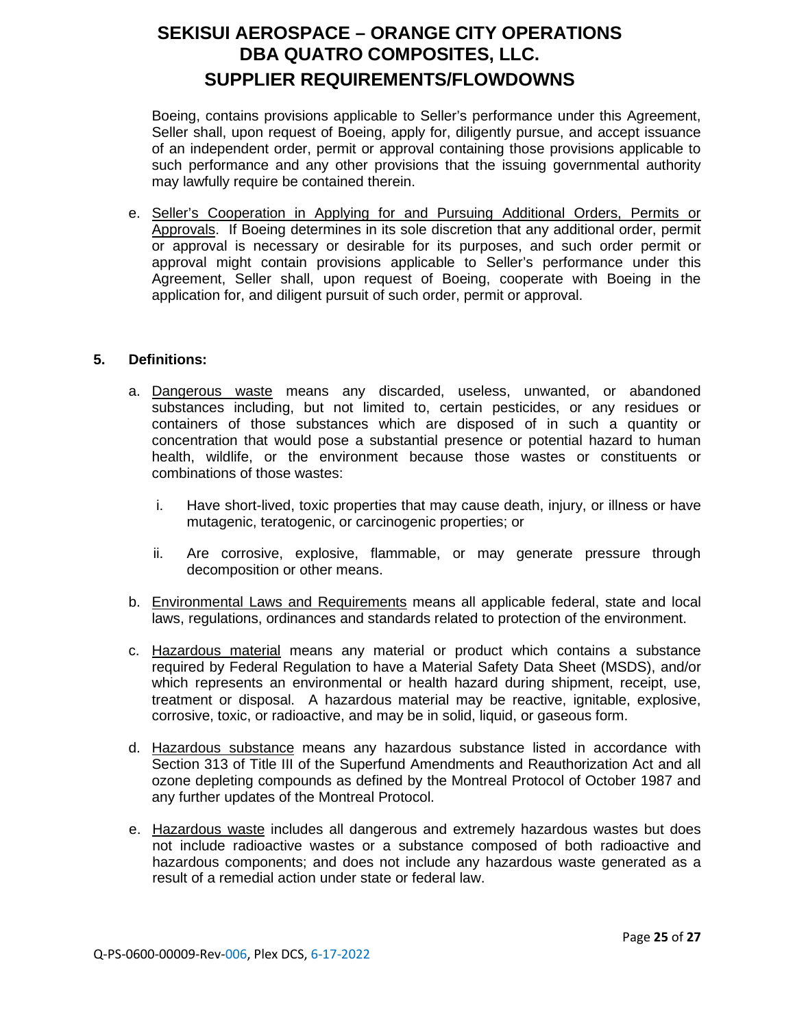Boeing, contains provisions applicable to Seller's performance under this Agreement, Seller shall, upon request of Boeing, apply for, diligently pursue, and accept issuance of an independent order, permit or approval containing those provisions applicable to such performance and any other provisions that the issuing governmental authority may lawfully require be contained therein.

e. Seller's Cooperation in Applying for and Pursuing Additional Orders, Permits or Approvals. If Boeing determines in its sole discretion that any additional order, permit or approval is necessary or desirable for its purposes, and such order permit or approval might contain provisions applicable to Seller's performance under this Agreement, Seller shall, upon request of Boeing, cooperate with Boeing in the application for, and diligent pursuit of such order, permit or approval.

### **5. Definitions:**

- a. Dangerous waste means any discarded, useless, unwanted, or abandoned substances including, but not limited to, certain pesticides, or any residues or containers of those substances which are disposed of in such a quantity or concentration that would pose a substantial presence or potential hazard to human health, wildlife, or the environment because those wastes or constituents or combinations of those wastes:
	- i. Have short-lived, toxic properties that may cause death, injury, or illness or have mutagenic, teratogenic, or carcinogenic properties; or
	- ii. Are corrosive, explosive, flammable, or may generate pressure through decomposition or other means.
- b. Environmental Laws and Requirements means all applicable federal, state and local laws, regulations, ordinances and standards related to protection of the environment.
- c. Hazardous material means any material or product which contains a substance required by Federal Regulation to have a Material Safety Data Sheet (MSDS), and/or which represents an environmental or health hazard during shipment, receipt, use, treatment or disposal. A hazardous material may be reactive, ignitable, explosive, corrosive, toxic, or radioactive, and may be in solid, liquid, or gaseous form.
- d. Hazardous substance means any hazardous substance listed in accordance with Section 313 of Title III of the Superfund Amendments and Reauthorization Act and all ozone depleting compounds as defined by the Montreal Protocol of October 1987 and any further updates of the Montreal Protocol.
- e. Hazardous waste includes all dangerous and extremely hazardous wastes but does not include radioactive wastes or a substance composed of both radioactive and hazardous components; and does not include any hazardous waste generated as a result of a remedial action under state or federal law.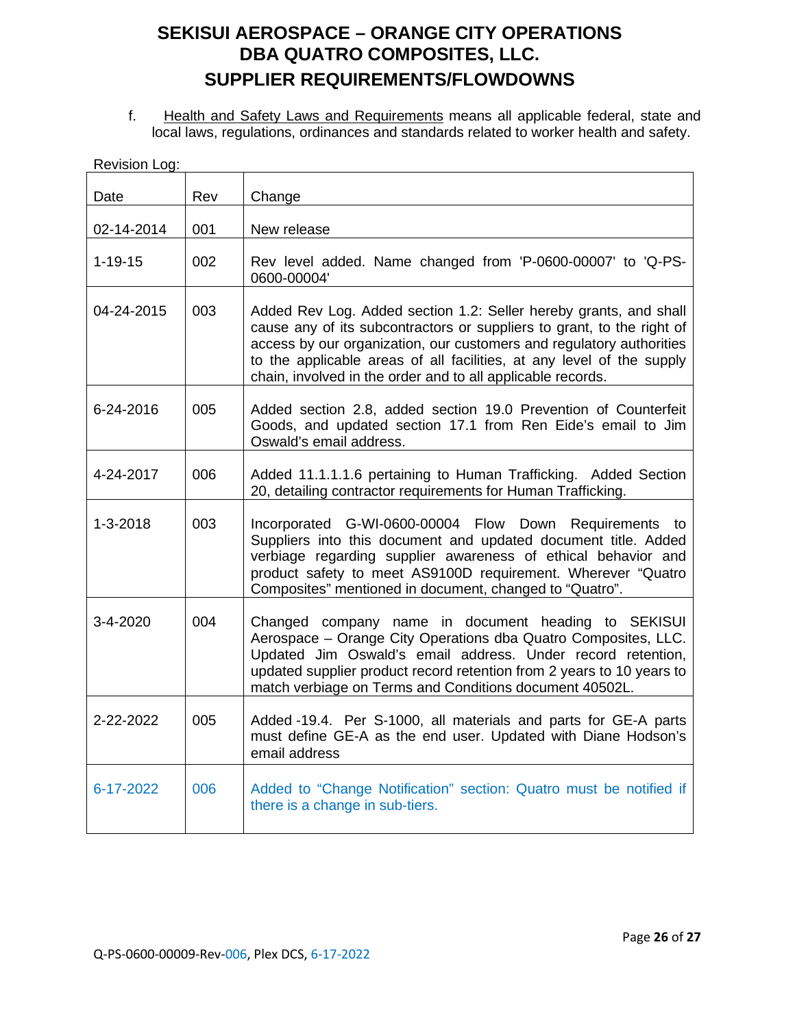f. Health and Safety Laws and Requirements means all applicable federal, state and local laws, regulations, ordinances and standards related to worker health and safety.

| Revision Log:  |     |                                                                                                                                                                                                                                                                                                                                                             |
|----------------|-----|-------------------------------------------------------------------------------------------------------------------------------------------------------------------------------------------------------------------------------------------------------------------------------------------------------------------------------------------------------------|
| Date           | Rev | Change                                                                                                                                                                                                                                                                                                                                                      |
| 02-14-2014     | 001 | New release                                                                                                                                                                                                                                                                                                                                                 |
| $1 - 19 - 15$  | 002 | Rev level added. Name changed from 'P-0600-00007' to 'Q-PS-<br>0600-00004'                                                                                                                                                                                                                                                                                  |
| 04-24-2015     | 003 | Added Rev Log. Added section 1.2: Seller hereby grants, and shall<br>cause any of its subcontractors or suppliers to grant, to the right of<br>access by our organization, our customers and regulatory authorities<br>to the applicable areas of all facilities, at any level of the supply<br>chain, involved in the order and to all applicable records. |
| 6-24-2016      | 005 | Added section 2.8, added section 19.0 Prevention of Counterfeit<br>Goods, and updated section 17.1 from Ren Eide's email to Jim<br>Oswald's email address.                                                                                                                                                                                                  |
| 4-24-2017      | 006 | Added 11.1.1.1.6 pertaining to Human Trafficking. Added Section<br>20, detailing contractor requirements for Human Trafficking.                                                                                                                                                                                                                             |
| $1 - 3 - 2018$ | 003 | Incorporated G-WI-0600-00004 Flow Down Requirements to<br>Suppliers into this document and updated document title. Added<br>verbiage regarding supplier awareness of ethical behavior and<br>product safety to meet AS9100D requirement. Wherever "Quatro<br>Composites" mentioned in document, changed to "Quatro".                                        |
| 3-4-2020       | 004 | Changed company name in document heading to SEKISUI<br>Aerospace - Orange City Operations dba Quatro Composites, LLC.<br>Updated Jim Oswald's email address. Under record retention,<br>updated supplier product record retention from 2 years to 10 years to<br>match verbiage on Terms and Conditions document 40502L.                                    |
| 2-22-2022      | 005 | Added -19.4. Per S-1000, all materials and parts for GE-A parts<br>must define GE-A as the end user. Updated with Diane Hodson's<br>email address                                                                                                                                                                                                           |
| 6-17-2022      | 006 | Added to "Change Notification" section: Quatro must be notified if<br>there is a change in sub-tiers.                                                                                                                                                                                                                                                       |